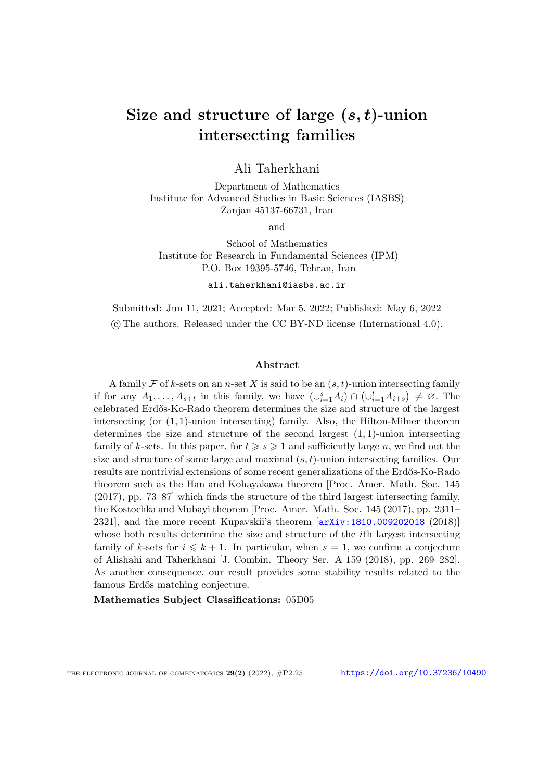# Size and structure of large (*s, t*)-union intersecting families

Ali Taherkhani

Department of Mathematics Institute for Advanced Studies in Basic Sciences (IASBS) Zanjan 45137-66731, Iran

and

School of Mathematics Institute for Research in Fundamental Sciences (IPM) P.O. Box 19395-5746, Tehran, Iran

ali.taherkhani@iasbs.ac.ir

Submitted: Jun 11, 2021; Accepted: Mar 5, 2022; Published: May 6, 2022 ©c The authors. Released under the CC BY-ND license (International 4.0).

#### Abstract

A family  $\mathcal F$  of  $k$ -sets on an *n*-set X is said to be an  $(s, t)$ -union intersecting family if for any  $A_1, \ldots, A_{s+t}$  in this family, we have  $(\cup_{i=1}^s A_i) \cap (\cup_{i=1}^t A_{i+s}) \neq \emptyset$ . The celebrated Erd˝os-Ko-Rado theorem determines the size and structure of the largest intersecting (or (1*,* 1)-union intersecting) family. Also, the Hilton-Milner theorem determines the size and structure of the second largest (1*,* 1)-union intersecting family of *k*-sets. In this paper, for  $t \geqslant s \geqslant 1$  and sufficiently large *n*, we find out the size and structure of some large and maximal (*s,t*)-union intersecting families. Our results are nontrivial extensions of some recent generalizations of the Erdős-Ko-Rado theorem such as the Han and Kohayakawa theorem [Proc. Amer. Math. Soc. 145 (2017), pp. 73–87] which finds the structure of the third largest intersecting family, the Kostochka and Mubayi theorem [Proc. Amer. Math. Soc. 145 (2017), pp. 2311– 2321], and the more recent Kupavskii's theorem [[arXiv:1810.009202018](https://arxiv.org/abs/1810.009202018) (2018)] whose both results determine the size and structure of the *i*th largest intersecting family of k-sets for  $i \leq k + 1$ . In particular, when  $s = 1$ , we confirm a conjecture of Alishahi and Taherkhani [J. Combin. Theory Ser. A 159 (2018), pp. 269–282]. As another consequence, our result provides some stability results related to the famous Erdős matching conjecture.

Mathematics Subject Classifications: 05D05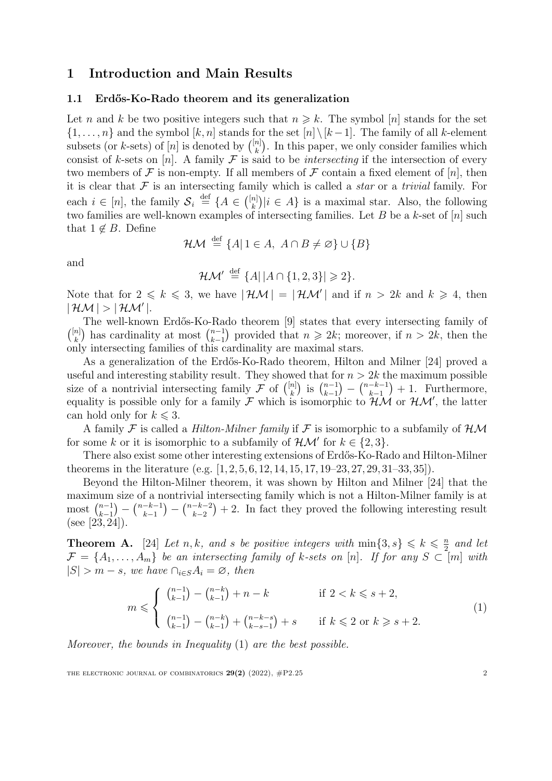## 1 Introduction and Main Results

#### 1.1 Erd˝os-Ko-Rado theorem and its generalization

Let *n* and *k* be two positive integers such that  $n \geq k$ . The symbol [*n*] stands for the set  $\{1, \ldots, n\}$  and the symbol  $[k, n]$  stands for the set  $[n] \setminus [k-1]$ . The family of all *k*-element subsets (or *k*-sets) of  $[n]$  is denoted by  $\binom{[n]}{k}$ . In this paper, we only consider families which consist of *k*-sets on [*n*]. A family  $\mathcal F$  is said to be *intersecting* if the intersection of every two members of  $\mathcal F$  is non-empty. If all members of  $\mathcal F$  contain a fixed element of  $[n]$ , then it is clear that *F* is an intersecting family which is called a *star* or a *trivial* family. For each  $i \in [n]$ , the family  $S_i \stackrel{\text{def}}{=} \{A \in \binom{[n]}{k} | i \in A\}$  is a maximal star. Also, the following two families are well-known examples of intersecting families. Let *B* be a *k*-set of [*n*] such that  $1 \notin B$ . Define

$$
\mathcal{HM} \stackrel{\text{def}}{=} \{A | 1 \in A, \ A \cap B \neq \varnothing\} \cup \{B\}
$$

and

$$
\mathcal{HM}' \stackrel{\text{def}}{=} \{A \mid |A \cap \{1,2,3\}| \geqslant 2\}.
$$

Note that for  $2 \leq k \leq 3$ , we have  $|HM| = |HM'|$  and if  $n > 2k$  and  $k \geq 4$ , then  $|$   $\mathcal{HM}|$   $>$   $|$   $\mathcal{HM}'|$ .

The well-known Erdős-Ko-Rado theorem [[9\]](#page-19-0) states that every intersecting family of  $\binom{[n]}{k}$  has cardinality at most  $\binom{n-1}{k-1}$  $\binom{n-1}{k-1}$  provided that  $n \geq 2k$ ; moreover, if  $n > 2k$ , then the only intersecting families of this cardinality are maximal stars.

As a generalization of the Erdős-Ko-Rado theorem, Hilton and Milner [[24](#page-20-0)] proved a useful and interesting stability result. They showed that for  $n > 2k$  the maximum possible size of a nontrivial intersecting family  $\mathcal{F}$  of  $\binom{[n]}{k}$  is  $\binom{n-1}{k-1}$ *k*−1  $\bigg) - \bigg( \frac{n-k-1}{k-1} \bigg)$  $+1.$  Furthermore, equality is possible only for a family  $\mathcal F$  which is isomorphic to  $\mathcal HM$  or  $\mathcal HM'$ , the latter can hold only for  $k \leq 3$ .

A family *F* is called a *Hilton-Milner family* if *F* is isomorphic to a subfamily of *HM* for some *k* or it is isomorphic to a subfamily of  $H\mathcal{M}'$  for  $k \in \{2, 3\}$ .

There also exist some other interesting extensions of Erdős-Ko-Rado and Hilton-Milner theorems in the literature (e.g. [[1](#page-19-1), [2](#page-19-2), [5,](#page-19-3) [6](#page-19-4), [12,](#page-20-1) [14](#page-20-2), [15,](#page-20-3) [17](#page-20-4), [19–](#page-20-5)[23](#page-20-6), [27,](#page-20-7) [29](#page-20-8), [31–](#page-21-0)[33](#page-21-1), [35\]](#page-21-2)).

Beyond the Hilton-Milner theorem, it was shown by Hilton and Milner [\[24\]](#page-20-0) that the maximum size of a nontrivial intersecting family which is not a Hilton-Milner family is at most  $\binom{n-1}{k-1}$ *k*−1  $\int_{1}^{1}$   $\binom{n-k-1}{k-1}$  $=$  $\binom{n-k-2}{k-2}$  $+ 2$ . In fact they proved the following interesting result (see [[23](#page-20-6), [24\]](#page-20-0)).

<span id="page-1-1"></span>**Theorem A.** [[24\]](#page-20-0) *Let n,k,* and *s be positive integers with*  $\min\{3, s\} \le k \le \frac{n}{2}$  *and let*  $\mathcal{F} = \{A_1, \ldots, A_m\}$  be an intersecting family of k-sets on [n]. If for any  $S \subset [m]$  with  $|S| > m - s$ *, we have* ∩*i*∈*S*</sub>*Ai* = ∅*, then* 

<span id="page-1-0"></span>
$$
m \leqslant \begin{cases} {n-1 \choose k-1} - {n-k \choose k-1} + n - k & \text{if } 2 < k \leqslant s+2, \\ {n-1 \choose k-1} - {n-k \choose k-1} + {n-k-s \choose k-s-1} + s & \text{if } k \leqslant 2 \text{ or } k \geqslant s+2. \end{cases} \tag{1}
$$

*Moreover, the bounds in Inequality* ([1\)](#page-1-0) *are the best possible.*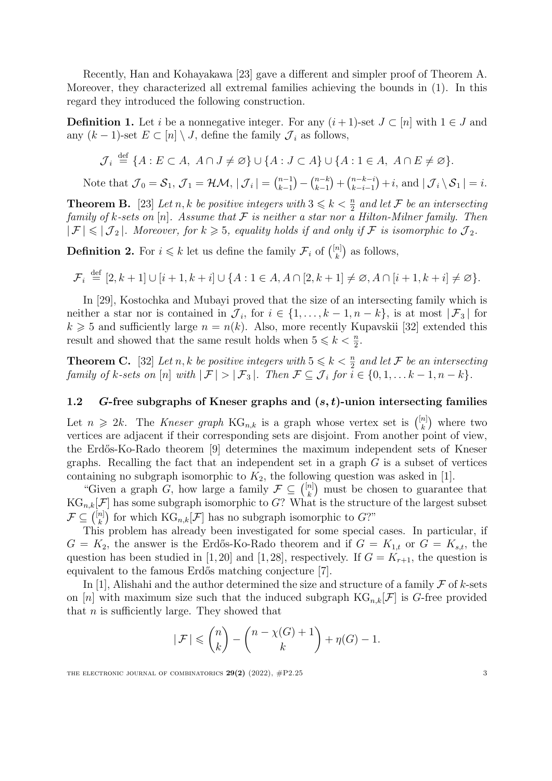Recently, Han and Kohayakawa [[23](#page-20-6)] gave a different and simpler proof of Theorem [A](#page-1-1). Moreover, they characterized all extremal families achieving the bounds in [\(1\)](#page-1-0). In this regard they introduced the following construction.

<span id="page-2-2"></span>**Definition 1.** Let *i* be a nonnegative integer. For any  $(i+1)$ -set  $J \subset [n]$  with  $1 \in J$  and any  $(k − 1)$ -set  $E ⊂ [n] \setminus J$ , define the family  $\mathcal{J}_i$  as follows,

$$
\mathcal{J}_i \stackrel{\text{def}}{=} \{A : E \subset A, \ A \cap J \neq \emptyset\} \cup \{A : J \subset A\} \cup \{A : 1 \in A, \ A \cap E \neq \emptyset\}.
$$

Note that  $\mathcal{J}_0 = \mathcal{S}_1$ ,  $\mathcal{J}_1 = \mathcal{HM}, |\mathcal{J}_i| = {n-1 \choose k-1}$  $\binom{n-k}{k-1}$  $+ \binom{n-k-i}{k-i-1}$  $\left| \int f(i, \text{and } | \mathcal{J}_i \setminus \mathcal{S}_1 | = i \right|$ .

<span id="page-2-0"></span>**Theorem B.** [\[23](#page-20-6)] Let *n,*  $k$  *be positive integers with*  $3 \leq k \leq \frac{n}{2}$  and let  $\mathcal{F}$  *be an intersecting family* of *k*-sets on [n]. Assume that  $F$  is neither a star nor a Hilton-Milner family. Then  $|\mathcal{F}| \leq |\mathcal{J}_2|$ . Moreover, for  $k \geq 5$ , equality holds if and only if F is isomorphic to  $\mathcal{J}_2$ .

**Definition 2.** For  $i \leq k$  let us define the family  $\mathcal{F}_i$  of  $\binom{[n]}{k}$  as follows,

$$
\mathcal{F}_i \stackrel{\text{def}}{=} [2, k+1] \cup [i+1, k+i] \cup \{A : 1 \in A, A \cap [2, k+1] \neq \emptyset, A \cap [i+1, k+i] \neq \emptyset\}.
$$

In [\[29](#page-20-8)], Kostochka and Mubayi proved that the size of an intersecting family which is neither a star nor is contained in  $\mathcal{J}_i$ , for  $i \in \{1, \ldots, k-1, n-k\}$ , is at most  $|\mathcal{F}_3|$  for  $k \geq 5$  and sufficiently large  $n = n(k)$ . Also, more recently Kupavskii [\[32\]](#page-21-3) extended this result and showed that the same result holds when  $5 \leq k < \frac{n}{2}$ .

<span id="page-2-1"></span>**Theorem C.** [[32](#page-21-3)] Let *n*, *k* be positive integers with  $5 \leq k \leq \frac{n}{2}$  and let F be an intersecting family of k-sets on [n] with  $|\mathcal{F}| > |\mathcal{F}_3|$ . Then  $\mathcal{F} \subseteq \mathcal{J}_i$  for  $i \in \{0, 1, \ldots k-1, n-k\}$ .

## 1.2 *G*-free subgraphs of Kneser graphs and (*s, t*)-union intersecting families

Let  $n \geq 2k$ . The *Kneser* graph  $KG_{n,k}$  is a graph whose vertex set is  $\binom{[n]}{k}$  where two vertices are adjacent if their corresponding sets are disjoint. From another point of view, the Erd˝os-Ko-Rado theorem [[9\]](#page-19-0) determines the maximum independent sets of Kneser graphs. Recalling the fact that an independent set in a graph *G* is a subset of vertices containing no subgraph isomorphic to  $K_2$ , the following question was asked in [[1\]](#page-19-1).

"Given a graph *G*, how large a family  $\mathcal{F} \subseteq \binom{[n]}{k}$  must be chosen to guarantee that  $KG_{n,k}[{\cal F}]$  has some subgraph isomorphic to *G*? What is the structure of the largest subset  $\mathcal{F} \subseteq \binom{[n]}{k}$  for which  $\text{KG}_{n,k}[\mathcal{F}]$  has no subgraph isomorphic to *G*?"

This problem has already been investigated for some special cases. In particular, if  $G = K_2$ , the answer is the Erdős-Ko-Rado theorem and if  $G = K_{1,t}$  or  $G = K_{s,t}$ , the question has been studied in [\[1](#page-19-1), [20\]](#page-20-9) and [[1,](#page-19-1) [28](#page-20-10)], respectively. If  $G = K_{r+1}$ , the question is equivalent to the famous Erdős matching conjecture [\[7\]](#page-19-5).

In [\[1](#page-19-1)], Alishahi and the author determined the size and structure of a family  $\mathcal F$  of  $k$ -sets on [n] with maximum size such that the induced subgraph  $KG_{n,k}[\mathcal{F}]$  is G-free provided that *n* is sufficiently large. They showed that

$$
|\mathcal{F}| \leqslant {n \choose k} - {n - \chi(G) + 1 \choose k} + \eta(G) - 1.
$$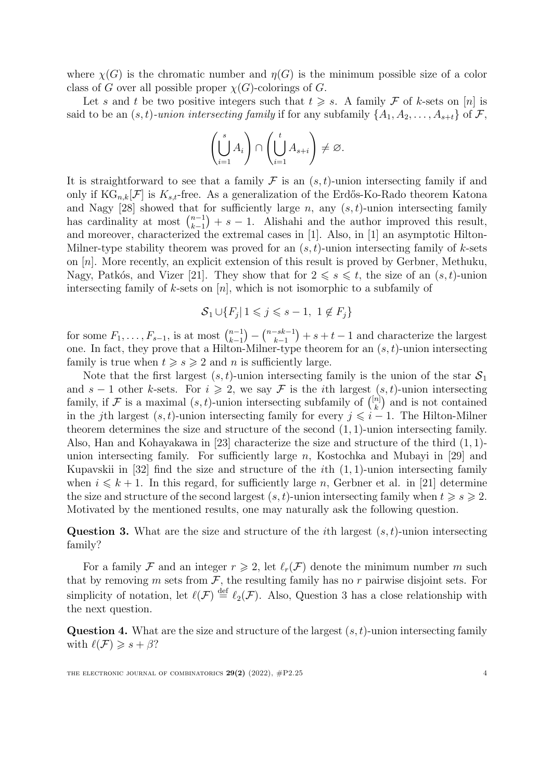where  $\chi(G)$  is the chromatic number and  $\eta(G)$  is the minimum possible size of a color class of *G* over all possible proper  $\chi(G)$ -colorings of *G*.

Let *s* and *t* be two positive integers such that  $t \geq s$ . A family F of *k*-sets on [*n*] is said to be an  $(s, t)$ -union intersecting family if for any subfamily  $\{A_1, A_2, \ldots, A_{s+t}\}\$  of  $\mathcal{F}$ ,

$$
\left(\bigcup_{i=1}^s A_i\right) \cap \left(\bigcup_{i=1}^t A_{s+i}\right) \neq \varnothing.
$$

It is straightforward to see that a family  $\mathcal F$  is an  $(s,t)$ -union intersecting family if and only if  $KG_{n,k}[\mathcal{F}]$  is  $K_{s,t}$ -free. As a generalization of the Erdős-Ko-Rado theorem Katona and Nagy [\[28\]](#page-20-10) showed that for sufficiently large *n*, any (*s,t*)-union intersecting family has cardinality at most  $\binom{n-1}{k-1}$  $+ s - 1$ . Alishahi and the author improved this result, and moreover, characterized the extremal cases in [\[1](#page-19-1)]. Also, in [[1\]](#page-19-1) an asymptotic Hilton-Milner-type stability theorem was proved for an (*s,t*)-union intersecting family of *k*-sets on [*n*]. More recently, an explicit extension of this result is proved by Gerbner, Methuku, Nagy, Patkós, and Vizer [\[21\]](#page-20-11). They show that for  $2 \le s \le t$ , the size of an  $(s, t)$ -union intersecting family of *k*-sets on [*n*], which is not isomorphic to a subfamily of

$$
S_1 \cup \{F_j \mid 1 \leqslant j \leqslant s-1, \ 1 \notin F_j\}
$$

for some  $F_1, \ldots, F_{s-1}$ , is at most  $\binom{n-1}{k-1}$ *k*−1  $(-\sum_{k=1}^{n-sk-1}$  $+ s + t - 1$  and characterize the largest one. In fact, they prove that a Hilton-Milner-type theorem for an (*s,t*)-union intersecting family is true when  $t \geqslant s \geqslant 2$  and *n* is sufficiently large.

Note that the first largest  $(s, t)$ -union intersecting family is the union of the star  $S_1$ and  $s - 1$  other *k*-sets. For  $i \geq 2$ , we say *F* is the *i*th largest  $(s, t)$ -union intersecting family, if *F* is a maximal  $(s, t)$ -union intersecting subfamily of  $\binom{[n]}{k}$  and is not contained in the *j*th largest  $(s, t)$ -union intersecting family for every  $j \leq i - 1$ . The Hilton-Milner theorem determines the size and structure of the second (1*,* 1)-union intersecting family. Also, Han and Kohayakawa in [\[23\]](#page-20-6) characterize the size and structure of the third (1*,* 1) union intersecting family. For sufficiently large *n*, Kostochka and Mubayi in [[29](#page-20-8)] and Kupavskii in [\[32\]](#page-21-3) find the size and structure of the *i*th (1*,* 1)-union intersecting family when  $i \leq k + 1$ . In this regard, for sufficiently large *n*, Gerbner et al. in [[21](#page-20-11)] determine the size and structure of the second largest  $(s, t)$ -union intersecting family when  $t \geq s \geq 2$ . Motivated by the mentioned results, one may naturally ask the following question.

<span id="page-3-0"></span>Question 3. What are the size and structure of the *i*th largest (*s,t*)-union intersecting family?

For a family *F* and an integer  $r \geq 2$ , let  $\ell_r(\mathcal{F})$  denote the minimum number *m* such that by removing  $m$  sets from  $\mathcal F$ , the resulting family has no  $r$  pairwise disjoint sets. For simplicity of notation, let  $\ell(\mathcal{F}) \stackrel{\text{def}}{=} \ell_2(\mathcal{F})$ . Also, Question [3](#page-3-0) has a close relationship with the next question.

Question 4. What are the size and structure of the largest (*s,t*)-union intersecting family with  $\ell(\mathcal{F}) \geqslant s + \beta$ ?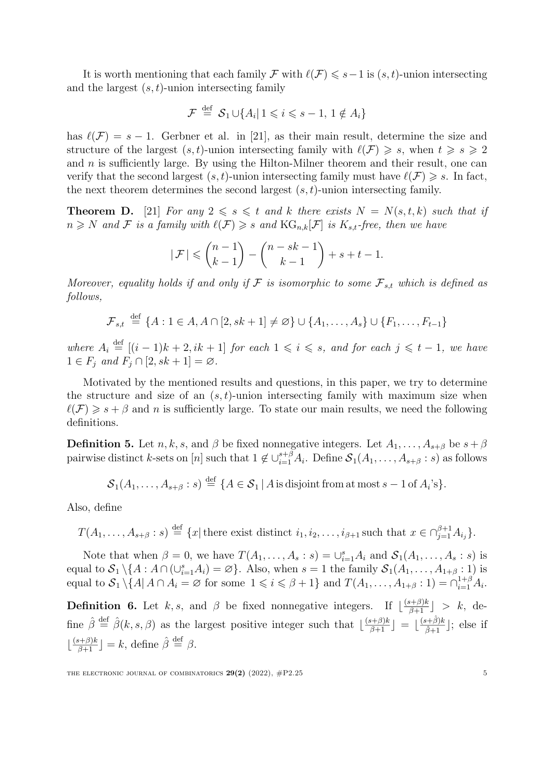It is worth mentioning that each family  $\mathcal F$  with  $\ell(\mathcal F) \leqslant s-1$  is  $(s,t)$ -union intersecting and the largest (*s,t*)-union intersecting family

$$
\mathcal{F} \stackrel{\text{def}}{=} \mathcal{S}_1 \cup \{ A_i | 1 \leqslant i \leqslant s - 1, 1 \notin A_i \}
$$

has  $\ell(\mathcal{F}) = s - 1$ . Gerbner et al. in [\[21\]](#page-20-11), as their main result, determine the size and structure of the largest  $(s, t)$ -union intersecting family with  $\ell(\mathcal{F}) \geq s$ , when  $t \geq s \geq 2$ and *n* is sufficiently large. By using the Hilton-Milner theorem and their result, one can verify that the second largest  $(s, t)$ -union intersecting family must have  $\ell(\mathcal{F}) \geq s$ . In fact, the next theorem determines the second largest (*s,t*)-union intersecting family.

<span id="page-4-0"></span>**Theorem D.** [\[21\]](#page-20-11) *For any*  $2 \le s \le t$  *and k there exists*  $N = N(s,t,k)$  *such that if*  $n \geq N$  *and*  $\mathcal{F}$  *is a family with*  $\ell(\mathcal{F}) \geq s$  *and*  $\text{KG}_{n,k}[\mathcal{F}]$  *is*  $K_{s,t}$ -free, then we have

$$
|\mathcal{F}| \leqslant {n-1 \choose k-1} - {n-sk-1 \choose k-1} + s+t-1.
$$

*Moreover, equality holds if* and *only if*  $F$  *is isomorphic to some*  $F_{s,t}$  *which is defined as follows,*

$$
\mathcal{F}_{s,t} \stackrel{\text{def}}{=} \{A : 1 \in A, A \cap [2, sk+1] \neq \emptyset\} \cup \{A_1, \ldots, A_s\} \cup \{F_1, \ldots, F_{t-1}\}
$$

where  $A_i \stackrel{\text{def}}{=} [(i-1)k+2, ik+1]$  for each  $1 \leq i \leq s$ , and for each  $j \leq t-1$ , we have  $1 \in F_j$  and  $F_j \cap [2, sk+1] = \emptyset$ .

Motivated by the mentioned results and questions, in this paper, we try to determine the structure and size of an  $(s, t)$ -union intersecting family with maximum size when  $\ell(\mathcal{F}) \geq s + \beta$  and *n* is sufficiently large. To state our main results, we need the following definitions.

<span id="page-4-1"></span>**Definition 5.** Let *n*, *k*, *s*, and  $\beta$  be fixed nonnegative integers. Let  $A_1, \ldots, A_{s+\beta}$  be  $s+\beta$ pairwise distinct *k*-sets on [*n*] such that  $1 \notin \bigcup_{i=1}^{s+\beta} A_i$ . Define  $S_1(A_1, \ldots, A_{s+\beta} : s)$  as follows

 $\mathcal{S}_1(A_1,\ldots,A_{s+\beta}:s) \stackrel{\text{def}}{=} \{A \in \mathcal{S}_1 \mid A \text{ is disjoint from at most } s-1 \text{ of } A_i\text{'s}\}.$ 

Also, define

$$
T(A_1, \ldots, A_{s+\beta} : s) \stackrel{\text{def}}{=} \{x \mid \text{there exist distinct } i_1, i_2, \ldots, i_{\beta+1} \text{ such that } x \in \bigcap_{j=1}^{\beta+1} A_{i_j} \}.
$$

Note that when  $\beta = 0$ , we have  $T(A_1, \ldots, A_s : s) = \bigcup_{i=1}^s A_i$  and  $S_1(A_1, \ldots, A_s : s)$  is equal to  $S_1 \setminus \{A : A \cap (\cup_{i=1}^s A_i) = \emptyset\}$ . Also, when  $s = 1$  the family  $S_1(A_1, \ldots, A_{1+\beta} : 1)$  is equal to  $S_1 \setminus \{A | A \cap A_i = \emptyset \text{ for some } 1 \leq i \leq \beta + 1\}$  and  $T(A_1, \ldots, A_{1+\beta} : 1) = \bigcap_{i=1}^{1+\beta} A_i$ .

**Definition 6.** Let  $k, s$ , and  $\beta$  be fixed nonnegative integers. If  $\lfloor \frac{(s+\beta)k}{\beta+1} \rfloor > k$ , define  $\hat{\beta} \stackrel{\text{def}}{=} \hat{\beta}(k, s, \beta)$  as the largest positive integer such that  $\lfloor \frac{(s+\beta)k}{\beta+1} \rfloor = \lfloor \frac{(s+\hat{\beta})k}{\hat{\beta}+1} \rfloor$ ; else if  $\lfloor \frac{(s+\beta)k}{\beta+1} \rfloor = k$ , define  $\hat{\beta} \stackrel{\text{def}}{=} \beta$ .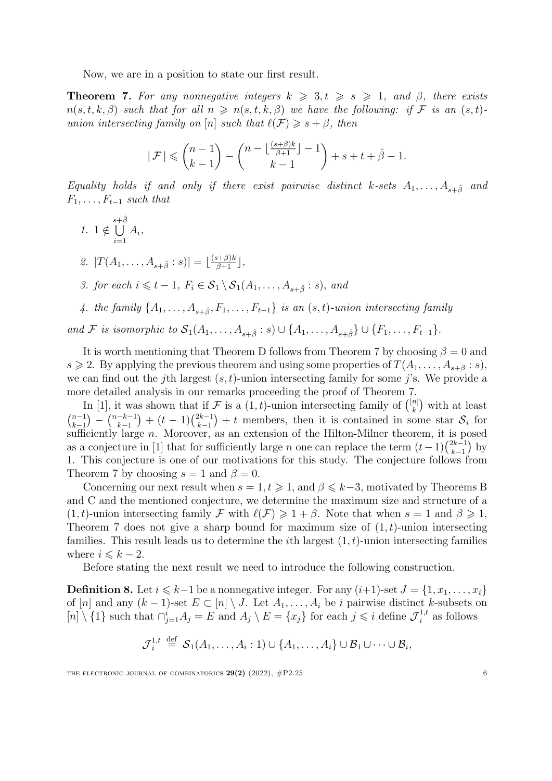Now, we are in a position to state our first result.

<span id="page-5-0"></span>**Theorem 7.** For any nonnegative integers  $k \geq 3, t \geq s \geq 1$ , and  $\beta$ , there exists  $n(s,t,k,\beta)$  such that for all  $n \geq n(s,t,k,\beta)$  we have the following: if F is an  $(s,t)$ *union intersecting family on* [*n*] *such that*  $\ell(\mathcal{F}) \geq s + \beta$ , *then* 

$$
|\mathcal{F}| \leqslant \binom{n-1}{k-1} - \binom{n - \lfloor \frac{(s+\beta)k}{\beta+1} \rfloor - 1}{k-1} + s + t + \hat{\beta} - 1.
$$

Equality holds if and only if there exist pairwise distinct k-sets  $A_1, \ldots, A_{s+\hat{\beta}}$  and  $F_1, \ldots, F_{t-1}$  *such that* 

<span id="page-5-1"></span>\n- 1. 
$$
1 \notin \bigcup_{i=1}^{s+\hat{\beta}} A_i
$$
,
\n- 2.  $|T(A_1, \ldots, A_{s+\hat{\beta}} : s)| = \lfloor \frac{(s+\beta)k}{\beta+1} \rfloor$ ,
\n- 3. for each  $i \leq t-1$ ,  $F_i \in \mathcal{S}_1 \setminus \mathcal{S}_1(A_1, \ldots, A_{s+\hat{\beta}} : s)$ , and
\n- 4. the family  $\{A_1, \ldots, A_{s+\hat{\beta}}, F_1, \ldots, F_{t-1}\}$  is an  $(s, t)$ -union intersecting family
\n

and F is isomorphic to  $S_1(A_1,\ldots,A_{s+\hat{\beta}}:s)\cup\{A_1,\ldots,A_{s+\hat{\beta}}\}\cup\{F_1,\ldots,F_{t-1}\}.$ 

It is worth mentioning that Theorem [D](#page-4-0) follows from Theorem [7](#page-5-0) by choosing  $\beta = 0$  and  $s \geq 2$ . By applying the previous theorem and using some properties of  $T(A_1, \ldots, A_{s+\beta}: s)$ , we can find out the *j*th largest (*s,t*)-union intersecting family for some *j*'s. We provide a more detailed analysis in our remarks proceeding the proof of Theorem [7.](#page-5-0)

In [\[1](#page-19-1)], it was shown that if  $\mathcal F$  is a  $(1,t)$ -union intersecting family of  $\binom{[n]}{k}$  with at least  $\binom{n-1}{1}$ *k*−1  $\bigg) - \bigg( \begin{matrix} n-k-1 \\ k-1 \end{matrix}$  $+ (t-1) \binom{2k-1}{k-1}$ *k*−1  $+ t$  members, then it is contained in some star  $S_i$  for sufficiently large *n*. Moreover, as an extension of the Hilton-Milner theorem, it is posed as a conjecture in [\[1](#page-19-1)] that for sufficiently large *n* one can replace the term  $(t-1)\binom{2k-1}{k-1}$ *k*−1 ) by 1. This conjecture is one of our motivations for this study. The conjecture follows from Theorem [7](#page-5-0) by choosing  $s = 1$  and  $\beta = 0$ .

Concerning our next result when  $s = 1, t \geq 1$ , and  $\beta \leq k-3$ , motivated by Theorems [B](#page-2-0) and [C](#page-2-1) and the mentioned conjecture, we determine the maximum size and structure of a  $(1,t)$ -union intersecting family *F* with  $\ell(\mathcal{F}) \geq 1 + \beta$ . Note that when  $s = 1$  and  $\beta \geq 1$ , Theorem [7](#page-5-0) does not give a sharp bound for maximum size of (1*,t*)-union intersecting families. This result leads us to determine the *i*th largest (1*,t*)-union intersecting families where  $i \leq k - 2$ .

Before stating the next result we need to introduce the following construction.

<span id="page-5-2"></span>Definition 8. Let *i* ≤ *k*−1 be a nonnegative integer. For any  $(i+1)$ -set  $J = \{1, x_1, \ldots, x_i\}$ of [*n*] and any  $(k-1)$ -set  $E \subset [n] \setminus J$ . Let  $A_1, \ldots, A_i$  be *i* pairwise distinct *k*-subsets on  $[n] \setminus \{1\}$  such that  $\bigcap_{j=1}^{i} A_j = E$  and  $A_j \setminus E = \{x_j\}$  for each  $j \leq i$  define  $\mathcal{J}_i^{1,t}$  as follows

$$
\mathcal{J}_i^{1,t} \stackrel{\text{def}}{=} \mathcal{S}_1(A_1,\ldots,A_i:1) \cup \{A_1,\ldots,A_i\} \cup \mathcal{B}_1 \cup \cdots \cup \mathcal{B}_i,
$$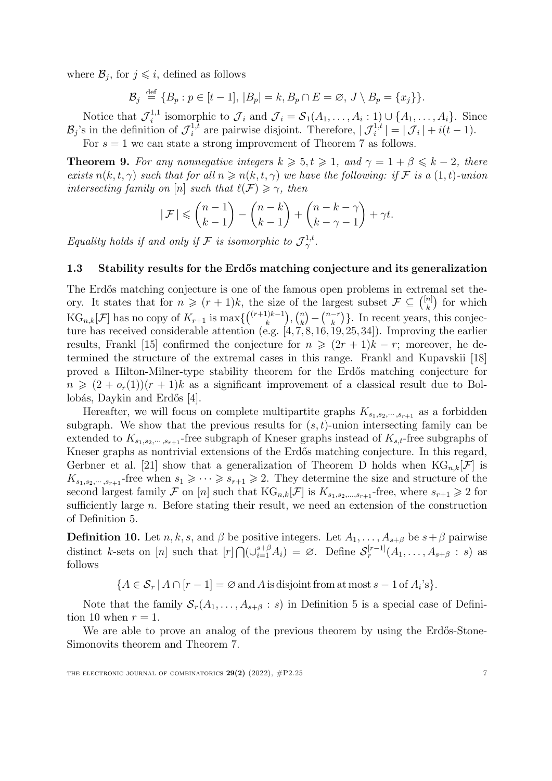where  $\mathcal{B}_j$ , for  $j \leqslant i$ , defined as follows

$$
\mathcal{B}_j \stackrel{\text{def}}{=} \{B_p : p \in [t-1], |B_p| = k, B_p \cap E = \emptyset, J \setminus B_p = \{x_j\}\}.
$$

Notice that  $\mathcal{J}_i^{1,1}$  isomorphic to  $\mathcal{J}_i$  and  $\mathcal{J}_i = \mathcal{S}_1(A_1,\ldots,A_i:1) \cup \{A_1,\ldots,A_i\}$ . Since  $\mathcal{B}_j$ 's in the definition of  $\mathcal{J}_i^{1,t}$  are pairwise disjoint. Therefore,  $|\mathcal{J}_i^{1,t}| = |\mathcal{J}_i| + i(t-1)$ .

For  $s = 1$  we can state a strong improvement of Theorem [7](#page-5-0) as follows.

<span id="page-6-1"></span>**Theorem 9.** For any nonnegative integers  $k \geqslant 5, t \geqslant 1$ , and  $\gamma = 1 + \beta \leqslant k - 2$ , there exists  $n(k, t, \gamma)$  such that for all  $n \geq n(k, t, \gamma)$  we have the following: if F is a  $(1, t)$ -union *intersecting family on* [*n*] *such that*  $\ell(\mathcal{F}) \geq \gamma$ , *then* 

$$
|\mathcal{F}| \leqslant {n-1 \choose k-1} - {n-k \choose k-1} + {n-k-\gamma \choose k-\gamma-1} + \gamma t.
$$

*Equality holds if and only if*  $\mathcal{F}$  *is isomorphic to*  $\mathcal{J}_{\gamma}^{1,t}$ .

### 1.3 Stability results for the Erdős matching conjecture and its generalization

The Erdős matching conjecture is one of the famous open problems in extremal set theory. It states that for  $n \geq (r+1)k$ , the size of the largest subset  $\mathcal{F} \subseteq \binom{[n]}{k}$  for which  $\text{KG}_{n,k}[\mathcal{F}]$  has no copy of  $K_{r+1}$  is  $\max\{({r+1)k-1 \choose k}, {n \choose k} - {n-r \choose k}\}\$ . In recent years, this conjecture has received considerable attention (e.g.  $[4, 7, 8, 16, 19, 25, 34]$  $[4, 7, 8, 16, 19, 25, 34]$  $[4, 7, 8, 16, 19, 25, 34]$  $[4, 7, 8, 16, 19, 25, 34]$  $[4, 7, 8, 16, 19, 25, 34]$  $[4, 7, 8, 16, 19, 25, 34]$  $[4, 7, 8, 16, 19, 25, 34]$  $[4, 7, 8, 16, 19, 25, 34]$  $[4, 7, 8, 16, 19, 25, 34]$  $[4, 7, 8, 16, 19, 25, 34]$  $[4, 7, 8, 16, 19, 25, 34]$  $[4, 7, 8, 16, 19, 25, 34]$  $[4, 7, 8, 16, 19, 25, 34]$  $[4, 7, 8, 16, 19, 25, 34]$ ). Improving the earlier results, Frankl [[15](#page-20-3)] confirmed the conjecture for  $n \geq (2r + 1)k - r$ ; moreover, he determined the structure of the extremal cases in this range. Frankl and Kupavskii [[18](#page-20-14)] proved a Hilton-Milner-type stability theorem for the Erd˝os matching conjecture for  $n \geq (2 + o_r(1))(r + 1)k$  as a significant improvement of a classical result due to Bol-lobás, Daykin and Erdős [\[4\]](#page-19-6).

Hereafter, we will focus on complete multipartite graphs  $K_{s_1,s_2,\dots,s_{r+1}}$  as a forbidden subgraph. We show that the previous results for  $(s, t)$ -union intersecting family can be extended to  $K_{s_1,s_2,\dots,s_{r+1}}$ -free subgraph of Kneser graphs instead of  $K_{s,t}$ -free subgraphs of Kneser graphs as nontrivial extensions of the Erdős matching conjecture. In this regard, Gerbner et al. [\[21](#page-20-11)] show that a generalization of Theorem [D](#page-4-0) holds when  $KG_{n,k}[\mathcal{F}]$  is  $K_{s_1,s_2,\dots,s_{r+1}}$ -free when  $s_1 \geqslant \dots \geqslant s_{r+1} \geqslant 2$ . They determine the size and structure of the second largest family  $\mathcal F$  on  $[n]$  such that  $\text{KG}_{n,k}[\mathcal F]$  is  $K_{s_1,s_2,...,s_{r+1}}$ -free, where  $s_{r+1} \geqslant 2$  for sufficiently large *n*. Before stating their result, we need an extension of the construction of Definition [5.](#page-4-1)

<span id="page-6-0"></span>**Definition 10.** Let *n, k, s,* and  $\beta$  be positive integers. Let  $A_1, \ldots, A_{s+\beta}$  be  $s+\beta$  pairwise distinct k-sets on [n] such that  $[r] \bigcap (\cup_{i=1}^{s+\beta} A_i) = \emptyset$ . Define  $S_r^{[r-1]}(A_1, \ldots, A_{s+\beta} : s)$  as follows

 ${A \in \mathcal{S}_r | A \cap [r-1] = \emptyset \text{ and } A \text{ is disjoint from at most } s-1 \text{ of } A_i's }}.$ 

Note that the family  $S_r(A_1, \ldots, A_{s+\beta}: s)$  in Definition [5](#page-4-1) is a special case of Defini-tion [10](#page-6-0) when  $r = 1$ .

We are able to prove an analog of the previous theorem by using the Erdős-Stone-Simonovits theorem and Theorem [7](#page-5-0).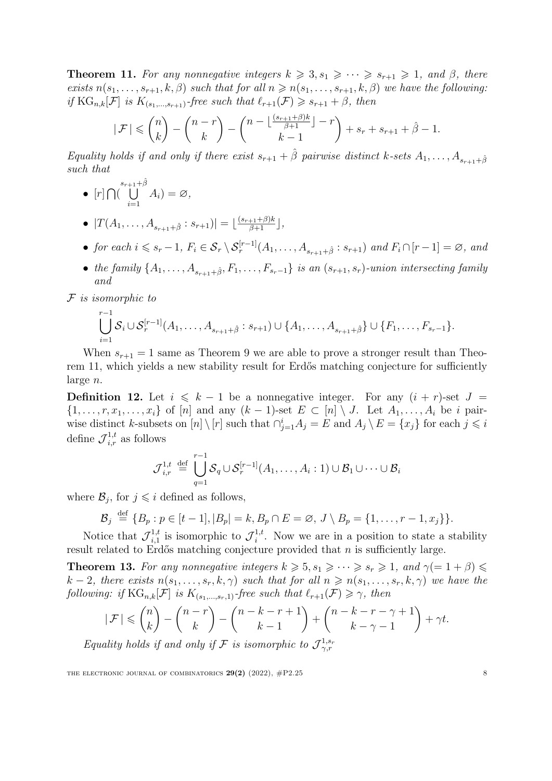<span id="page-7-0"></span>**Theorem 11.** For any nonnegative integers  $k \geq 3, s_1 \geq \cdots \geq s_{r+1} \geq 1$ , and  $\beta$ , there exists  $n(s_1, \ldots, s_{r+1}, k, \beta)$  such that for all  $n \geq n(s_1, \ldots, s_{r+1}, k, \beta)$  we have the following: *if*  $KG_{n,k}[\mathcal{F}]$  *is*  $K_{(s_1,\ldots,s_{r+1})}$ *-free such that*  $\ell_{r+1}(\mathcal{F}) \geq s_{r+1} + \beta$ *, then* 

$$
|\mathcal{F}| \leqslant {n \choose k} - {n-r \choose k} - {n-\lfloor\frac{(s_{r+1}+\beta)k}{\beta+1} \rfloor -r \choose k-1} + s_r + s_{r+1} + \hat{\beta} - 1.
$$

Equality holds if and only if there exist  $s_{r+1} + \hat{\beta}$  pairwise distinct k-sets  $A_1, \ldots, A_{s_{r+1}+\hat{\beta}}$ *such that*

- $[r]$   $\bigcap \left(\bigcup_{i=1}^{s_{r+1}+\hat{\beta}}\right)$ *i*=1  $A_i) = \varnothing,$
- $\bullet$   $|T(A_1, \ldots, A_{s_{r+1}+\hat{\beta}} : s_{r+1})| = \lfloor \frac{(s_{r+1}+\beta)k}{\beta+1} \rfloor,$
- for each  $i \leq s_r 1$ ,  $F_i \in S_r \setminus S_r^{[r-1]}(A_1, \ldots, A_{s_{r+1} + \hat{\beta}} : s_{r+1})$  and  $F_i \cap [r-1] = \emptyset$ , and
- the family  $\{A_1,\ldots,A_{s_{n+1}+\hat{\beta}},F_1,\ldots,F_{s_r-1}\}$  is an  $(s_{r+1},s_r)$ -union intersecting family *and*

*F is isomorphic to*

$$
\bigcup_{i=1}^{r-1} S_i \cup S_r^{[r-1]}(A_1, \ldots, A_{s_{r+1}+\hat{\beta}} : s_{r+1}) \cup \{A_1, \ldots, A_{s_{r+1}+\hat{\beta}}\} \cup \{F_1, \ldots, F_{s_r-1}\}.
$$

When  $s_{r+1} = 1$  same as Theorem [9](#page-6-1) we are able to prove a stronger result than Theo-rem [11](#page-7-0), which yields a new stability result for Erdős matching conjecture for sufficiently large *n*.

**Definition 12.** Let  $i \leq k - 1$  be a nonnegative integer. For any  $(i + r)$ -set  $J =$  $\{1,\ldots,r,x_1,\ldots,x_i\}$  of [n] and any  $(k-1)$ -set  $E\subset [n]\setminus J$ . Let  $A_1,\ldots,A_i$  be i pairwise distinct k-subsets on  $[n] \setminus [r]$  such that  $\bigcap_{j=1}^{i} A_j = E$  and  $A_j \setminus E = \{x_j\}$  for each  $j \leq i$ define  $\mathcal{J}_{i,r}^{1,t}$  as follows

$$
\mathcal{J}_{i,r}^{1,t} \stackrel{\text{def}}{=} \bigcup_{q=1}^{r-1} \mathcal{S}_q \cup \mathcal{S}_r^{[r-1]}(A_1,\ldots,A_i:1) \cup \mathcal{B}_1 \cup \cdots \cup \mathcal{B}_i
$$

where  $\mathcal{B}_j$ , for  $j \leq i$  defined as follows,

$$
\mathcal{B}_j \stackrel{\text{def}}{=} \{B_p : p \in [t-1], |B_p| = k, B_p \cap E = \emptyset, J \setminus B_p = \{1, \ldots, r-1, x_j\} \}.
$$

Notice that  $\mathcal{J}_{i,1}^{1,t}$  is isomorphic to  $\mathcal{J}_i^{1,t}$ . Now we are in a position to state a stability result related to Erdős matching conjecture provided that *n* is sufficiently large.

<span id="page-7-1"></span>**Theorem 13.** For any nonnegative integers  $k \geq 5$ ,  $s_1 \geq \cdots \geq s_r \geq 1$ , and  $\gamma (= 1 + \beta) \leq$  $k-2$ , there exists  $n(s_1,\ldots,s_r,k,\gamma)$  such that for all  $n \geq n(s_1,\ldots,s_r,k,\gamma)$  we have the *following: if*  $KG_{n,k}[\mathcal{F}]$  *is*  $K_{(s_1,\ldots,s_r,1)}$ *-free such* that  $\ell_{r+1}(\mathcal{F}) \geq \gamma$ *, then* 

$$
|\mathcal{F}| \leqslant {n \choose k} - {n-r \choose k} - {n-k-r+1 \choose k-1} + {n-k-r-\gamma+1 \choose k-\gamma-1} + \gamma t.
$$

*Equality holds if* and *only if*  $\mathcal{F}$  *is isomorphic to*  $\mathcal{J}^{1,s_r}_{\gamma,r}$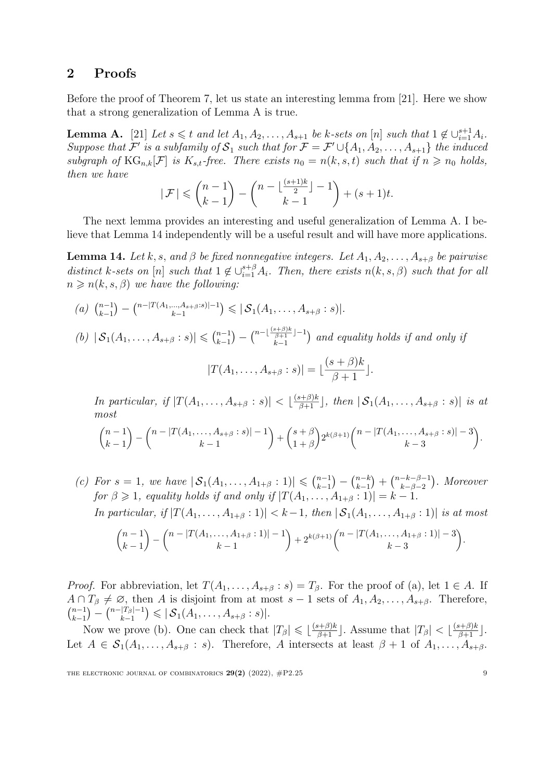## 2 Proofs

Before the proof of Theorem [7,](#page-5-0) let us state an interesting lemma from [\[21\]](#page-20-11). Here we show that a strong generalization of Lemma [A](#page-8-0) is true.

<span id="page-8-0"></span>**Lemma A.** [\[21\]](#page-20-11) Let  $s \leq t$  and let  $A_1, A_2, \ldots, A_{s+1}$  be k-sets on [n] such that  $1 \notin \bigcup_{i=1}^{s+1} A_i$ . Suppose that  $\mathcal{F}'$  is a subfamily of  $\mathcal{S}_1$  such that for  $\mathcal{F} = \mathcal{F}' \cup \{A_1, A_2, \ldots, A_{s+1}\}\$  the induced subgraph of  $\text{KG}_{n,k}[\mathcal{F}]$  is  $K_{s,t}$ -free. There exists  $n_0 = n(k, s, t)$  such that if  $n \geq n_0$  holds, *then we have*

$$
|\mathcal{F}| \leqslant {n-1 \choose k-1} - {n-\lfloor\frac{(s+1)k}{2}\rfloor - 1 \choose k-1} + (s+1)t.
$$

The next lemma provides an interesting and useful generalization of Lemma [A](#page-8-0). I believe that Lemma [14](#page-8-1) independently will be a useful result and will have more applications.

<span id="page-8-1"></span>**Lemma 14.** Let k, s, and  $\beta$  be fixed nonnegative integers. Let  $A_1, A_2, \ldots, A_{s+\beta}$  be pairwise distinct k-sets on [n] such that  $1 \notin \bigcup_{i=1}^{s+\beta} A_i$ . Then, there exists  $n(k, s, \beta)$  such that for all  $n \geq n(k, s, \beta)$  *we have the following:* 

- $(a)$   $\binom{n-1}{k-1}$  $) - {n-|T(A_1,...,A_{s+\beta}:s)|-1 \over k-1}$  $\big) \leqslant |\mathcal{S}_1(A_1, \ldots, A_{s+\beta} : s)|.$
- $(b)$   $|S_1(A_1, \ldots, A_{s+\beta} : s)| \leq {n-1 \choose k-1}$  $) - \binom{n - \lfloor \frac{(s + \beta)k}{\beta + 1} \rfloor - 1}{k - 1}$ *k*−1 ) and equality holds if and only if

$$
|T(A_1,\ldots,A_{s+\beta}:s)|=\lfloor\frac{(s+\beta)k}{\beta+1}\rfloor.
$$

In particular, if  $|T(A_1,\ldots,A_{s+\beta}:s)| < \lfloor \frac{(s+\beta)k}{\beta+1} \rfloor$ , then  $|\mathcal{S}_1(A_1,\ldots,A_{s+\beta}:s)|$  is at *most*

$$
\binom{n-1}{k-1} - \binom{n-|T(A_1,\ldots,A_{s+\beta}:s)|-1}{k-1} + \binom{s+\beta}{1+\beta} 2^{k(\beta+1)} \binom{n-|T(A_1,\ldots,A_{s+\beta}:s)|-3}{k-3}.
$$

*(c) For s* = 1*, we have*  $|S_1(A_1, \ldots, A_{1+\beta} : 1)| \leq (n-1)(n-1)$  $(-\int_{k-1}^{n-k}$  $\binom{n-k-\beta-1}{k-\beta-2}$ " *. Moreover for*  $\beta \geq 1$ *, equality holds if and only if*  $|T(A_1, \ldots, A_{1+\beta} : 1)| = k - 1$ *.* In particular, if  $|T(A_1,...,A_{1+\beta}:1)| < k-1$ , then  $|S_1(A_1,...,A_{1+\beta}:1)|$  is at most

$$
\binom{n-1}{k-1} - \binom{n-|T(A_1,\ldots,A_{1+\beta}:1)|-1}{k-1} + 2^{k(\beta+1)}\binom{n-|T(A_1,\ldots,A_{1+\beta}:1)|-3}{k-3}.
$$

*Proof.* For abbreviation, let  $T(A_1, \ldots, A_{s+\beta}: s) = T_\beta$ . For the proof of (a), let  $1 \in A$ . If  $A \cap T_{\beta} \neq \emptyset$ , then *A* is disjoint from at most  $s - 1$  sets of  $A_1, A_2, \ldots, A_{s+\beta}$ . Therefore, *k*−1  $\left( \begin{array}{c} n - |T_\beta| - 1 \\ k - 1 \end{array} \right)$  $\big) \leqslant |\mathcal{S}_1(A_1, \ldots, A_{s+\beta} : s)|.$ 

Now we prove (b). One can check that  $|T_\beta| \leq \lfloor \frac{(s+\beta)k}{\beta+1} \rfloor$ . Assume that  $|T_\beta| < \lfloor \frac{(s+\beta)k}{\beta+1} \rfloor$ . Let  $A \in S_1(A_1,\ldots,A_{s+\beta}:s)$ . Therefore, A intersects at least  $\beta+1$  of  $A_1,\ldots,A_{s+\beta}$ .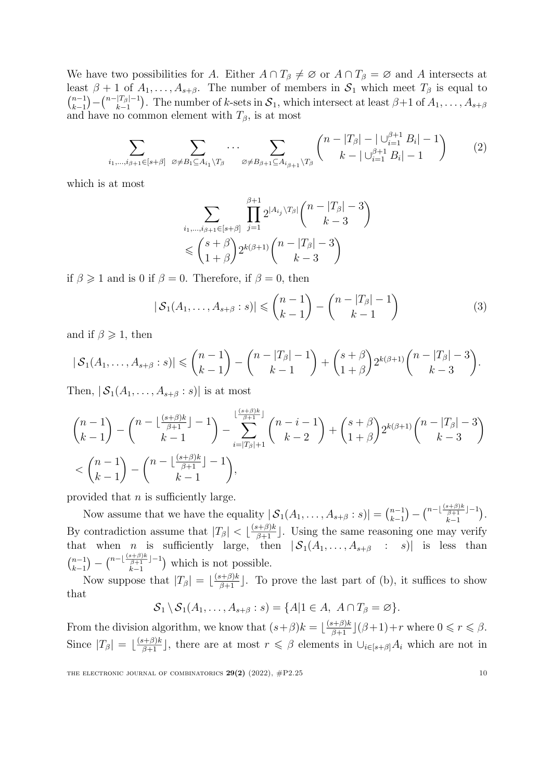We have two possibilities for *A*. Either  $A \cap T_\beta \neq \emptyset$  or  $A \cap T_\beta = \emptyset$  and *A* intersects at least  $\beta + 1$  of  $A_1, \ldots, A_{s+\beta}$ . The number of members in  $S_1$  which meet  $T_\beta$  is equal to  $\binom{n-1}{1}$ *k*−1  $(-\binom{n-|T_{\beta}|-1}{k-1}$ *k*−1 ). The number of *k*-sets in  $S_1$ , which intersect at least  $\beta+1$  of  $A_1, \ldots, A_{s+\beta}$ and have no common element with  $T_\beta$ , is at most

$$
\sum_{i_1,\dots,i_{\beta+1}\in[s+\beta]} \sum_{\varnothing\neq B_1\subseteq A_{i_1}\backslash T_{\beta}} \cdots \sum_{\varnothing\neq B_{\beta+1}\subseteq A_{i_{\beta+1}}\backslash T_{\beta}} \binom{n-|T_{\beta}|-|\bigcup_{i=1}^{\beta+1} B_i|-1}{k-|\bigcup_{i=1}^{\beta+1} B_i|-1} \tag{2}
$$

which is at most

<span id="page-9-1"></span><span id="page-9-0"></span>
$$
\sum_{i_1,\dots,i_{\beta+1}\in[s+\beta]} \prod_{j=1}^{\beta+1} 2^{|A_{i_j}\setminus T_{\beta}|} \binom{n-|T_{\beta}|-3}{k-3}
$$
  
\$\leqslant \binom{s+\beta}{1+\beta} 2^{k(\beta+1)} \binom{n-|T\_{\beta}|-3}{k-3}

if  $\beta \geq 1$  and is 0 if  $\beta = 0$ . Therefore, if  $\beta = 0$ , then

$$
|\mathcal{S}_1(A_1,\ldots,A_{s+\beta}:s)| \leqslant {n-1 \choose k-1} - {n-|T_{\beta}|-1 \choose k-1}
$$
 (3)

and if  $\beta \geqslant 1$ , then

$$
|S_1(A_1,\ldots,A_{s+\beta}:s)| \leq {n-1 \choose k-1} - {n-|T_{\beta}|-1 \choose k-1} + {s+\beta \choose 1+\beta} 2^{k(\beta+1)} {n-|T_{\beta}|-3 \choose k-3}.
$$

Then,  $|S_1(A_1, \ldots, A_{s+\beta} : s)|$  is at most

$$
{n-1 \choose k-1} - {n - \lfloor \frac{(s+\beta)k}{\beta+1} \rfloor - 1 \choose k-1} - \sum_{i=|T_{\beta}|+1}^{\lfloor \frac{(s+\beta)k}{\beta+1} \rfloor} {n-i-1 \choose k-2} + {s+\beta \choose 1+\beta} 2^{k(\beta+1)} {n - |T_{\beta}| - 3 \choose k-3}
$$
  

$$
< {n-1 \choose k-1} - {n - \lfloor \frac{(s+\beta)k}{\beta+1} \rfloor - 1 \choose k-1},
$$

provided that *n* is sufficiently large.

Now assume that we have the equality  $|\mathcal{S}_1(A_1,\ldots,A_{s+\beta}:s)| = \binom{n-1}{k-1}$  $) - {n - \lfloor \frac{(s + \beta)k}{\beta + 1} \rfloor - 1 \over k - 1}$ *k*−1 " *.* By contradiction assume that  $|T_\beta| < \lfloor \frac{(s+\beta)k}{\beta+1} \rfloor$ . Using the same reasoning one may verify that when *n* is sufficiently large, then  $|S_1(A_1,\ldots,A_{s+\beta} : s)|$  is less than  $\binom{n-1}{1}$ *k*−1  $) - \binom{n - \lfloor \frac{(s + \beta)k}{\beta + 1} \rfloor - 1}{k - 1}$ *k*−1 ) which is not possible.

Now suppose that  $|T_\beta| = \lfloor \frac{(s+\beta)k}{\beta+1} \rfloor$ . To prove the last part of (b), it suffices to show that

$$
S_1 \setminus S_1(A_1, \ldots, A_{s+\beta} : s) = \{A | 1 \in A, \ A \cap T_{\beta} = \varnothing \}.
$$

From the division algorithm, we know that  $(s+\beta)k = \lfloor \frac{(s+\beta)k}{\beta+1} \rfloor (\beta+1)+r$  where  $0 \le r \le \beta$ . Since  $|T_\beta| = \lfloor \frac{(s+\beta)k}{\beta+1} \rfloor$ , there are at most  $r \leq \beta$  elements in  $\bigcup_{i\in [s+\beta]} A_i$  which are not in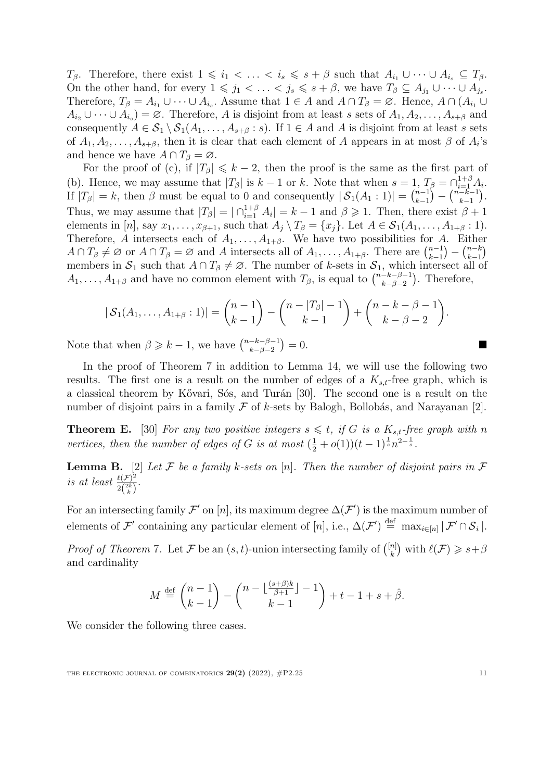$T_{\beta}$ . Therefore, there exist  $1 \leq i_1 < \ldots < i_s \leq s + \beta$  such that  $A_{i_1} \cup \cdots \cup A_{i_s} \subseteq T_{\beta}$ . On the other hand, for every  $1 \leq j_1 < \ldots < j_s \leq s + \beta$ , we have  $T_\beta \subseteq A_{j_1} \cup \cdots \cup A_{j_s}$ . Therefore,  $T_{\beta} = A_{i_1} \cup \cdots \cup A_{i_s}$ . Assume that  $1 \in A$  and  $A \cap T_{\beta} = \emptyset$ . Hence,  $A \cap (A_{i_1} \cup A_{i_2})$  $A_{i_2} \cup \cdots \cup A_{i_s} = \emptyset$ . Therefore, A is disjoint from at least s sets of  $A_1, A_2, \ldots, A_{s+\beta}$  and consequently  $A \in S_1 \setminus S_1(A_1, \ldots, A_{s+\beta}: s)$ . If  $1 \in A$  and *A* is disjoint from at least *s* sets of  $A_1, A_2, \ldots, A_{s+\beta}$ , then it is clear that each element of *A* appears in at most  $\beta$  of  $A_i$ 's and hence we have  $A \cap T_\beta = \emptyset$ *.* 

For the proof of (c), if  $|T_{\beta}| \leq k - 2$ , then the proof is the same as the first part of (b). Hence, we may assume that  $|T_\beta|$  is  $k-1$  or  $k$ . Note that when  $s=1$ ,  $T_\beta=\bigcap_{i=1}^{1+\beta}A_i$ . If  $|T_\beta| = k$ , then  $\beta$  must be equal to 0 and consequently  $|S_1(A_1:1)| = \binom{n-1}{k-1}$  $\binom{n-k-1}{k-1}$  $\big).$ Thus, we may assume that  $|T_\beta| = |\bigcap_{i=1}^{1+\beta} A_i| = k-1$  and  $\beta \geq 1$ . Then, there exist  $\beta + 1$ elements in [n], say  $x_1, \ldots, x_{\beta+1}$ , such that  $A_i \setminus T_\beta = \{x_i\}$ . Let  $A \in S_1(A_1, \ldots, A_{1+\beta}: 1)$ . Therefore, *A* intersects each of  $A_1, \ldots, A_{1+\beta}$ . We have two possibilities for *A*. Either  $A \cap T_{\beta} \neq \emptyset$  or  $A \cap T_{\beta} = \emptyset$  and *A* intersects all of  $A_1, \ldots, A_{1+\beta}$ . There are  $\binom{n-1}{k-1}$ *k*−1  $\binom{n-k}{k-1}$ .) members in  $S_1$  such that  $A \cap T_\beta \neq \emptyset$ . The number of *k*-sets in  $S_1$ , which intersect all of  $A_1, \ldots, A_{1+\beta}$  and have no common element with  $T_\beta$ , is equal to  $\binom{n-k-\beta-1}{k-\beta-2}$ ). Therefore,

$$
|S_1(A_1,\ldots,A_{1+\beta}:1)| = {n-1 \choose k-1} - {n-|T_{\beta}|-1 \choose k-1} + {n-k-\beta-1 \choose k-\beta-2}.
$$

Note that when  $\beta \geq k - 1$ , we have  $\binom{n-k-\beta-1}{k-\beta-2}$ *k*−β−2  $= 0.$ 

In the proof of Theorem [7](#page-5-0) in addition to Lemma [14,](#page-8-1) we will use the following two results. The first one is a result on the number of edges of a *Ks,t*-free graph, which is a classical theorem by Kővari, Sós, and Turán [[30\]](#page-21-5). The second one is a result on the number of disjoint pairs in a family  $\mathcal F$  of *k*-sets by Balogh, Bollobás, and Narayanan [[2](#page-19-2)].

<span id="page-10-1"></span>**Theorem E.** [\[30\]](#page-21-5) *For any two positive integers*  $s \leq t$ , *if G is a*  $K_{s,t}$ -free *graph with n vertices, then the number of edges of G is at most*  $(\frac{1}{2} + o(1))(t - 1)^{\frac{1}{s}}n^{2-\frac{1}{s}}$ .

<span id="page-10-0"></span>**Lemma B.** [\[2\]](#page-19-2) Let F be a family k-sets on [n]. Then the number of disjoint pairs in F *is at least*  $\frac{\ell(\mathcal{F})^2}{2\binom{2k}{k}}$ *.* 

For an intersecting family  $\mathcal{F}'$  on [*n*], its maximum degree  $\Delta(\mathcal{F}')$  is the maximum number of elements of  $\mathcal{F}'$  containing any particular element of  $[n]$ , i.e.,  $\Delta(\mathcal{F}') \stackrel{\text{def}}{=} \max_{i \in [n]} |\mathcal{F}' \cap \mathcal{S}_i|$ .

*Proof* of Theorem [7](#page-5-0). Let *F* be an  $(s, t)$ -union intersecting family of  $\binom{[n]}{k}$  with  $\ell(\mathcal{F}) \geq s + \beta$ and cardinality

$$
M \stackrel{\text{def}}{=} \binom{n-1}{k-1} - \binom{n - \lfloor \frac{(s+\beta)k}{\beta+1} \rfloor - 1}{k-1} + t - 1 + s + \hat{\beta}.
$$

We consider the following three cases.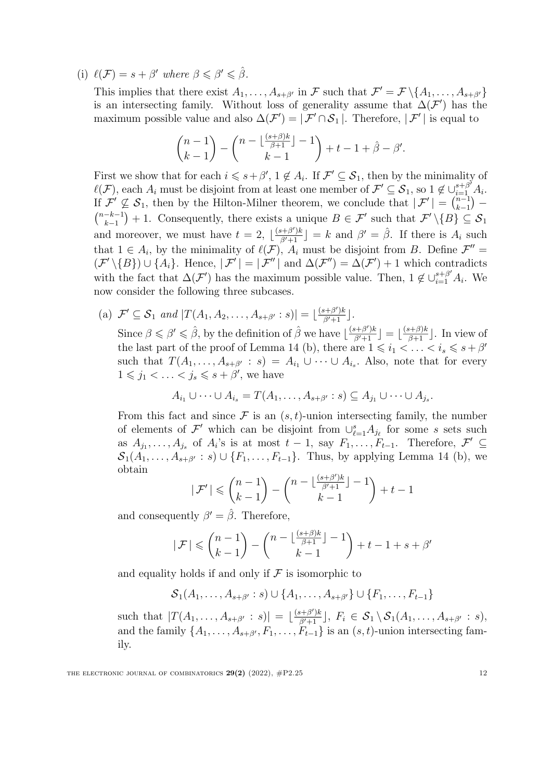(i)  $\ell(\mathcal{F}) = s + \beta'$  where  $\beta \leq \beta' \leq \hat{\beta}$ .

This implies that there exist  $A_1, \ldots, A_{s+\beta'}$  in F such that  $\mathcal{F}' = \mathcal{F} \setminus \{A_1, \ldots, A_{s+\beta'}\}$ is an intersecting family. Without loss of generality assume that  $\Delta(\mathcal{F}')$  has the maximum possible value and also  $\Delta(\mathcal{F}') = |\mathcal{F}' \cap \mathcal{S}_1|$ . Therefore,  $|\mathcal{F}'|$  is equal to

$$
\binom{n-1}{k-1} - \binom{n - \lfloor \frac{(s+\beta)k}{\beta+1} \rfloor - 1}{k-1} + t - 1 + \hat{\beta} - \beta'.
$$

First we show that for each  $i \leq s + \beta', 1 \notin A_i$ . If  $\mathcal{F}' \subseteq \mathcal{S}_1$ , then by the minimality of  $\ell(\mathcal{F})$ , each  $A_i$  must be disjoint from at least one member of  $\mathcal{F}' \subseteq \mathcal{S}_1$ , so  $1 \notin \bigcup_{i=1}^{s+\beta'} A_i$ . If  $\mathcal{F}' \not\subseteq \mathcal{S}_1$ , then by the Hilton-Milner theorem, we conclude that  $|\mathcal{F}'| = \binom{n-1}{k-1}$  $\mathcal{L}$ If  $\mathcal{F} \not\subseteq \mathcal{S}_1$ , then by the Hilton-Milner theorem, we conclude that  $|\mathcal{F}| = {k-1 \choose k-1} - {n-k-1 \choose k+1} + 1$ . Consequently, there exists a unique  $B \in \mathcal{F}'$  such that  $\mathcal{F}' \setminus \{B\} \subset \mathcal{S}_1$ . *k*−1  $+ 1$ . Consequently, there exists a unique  $B \in \mathcal{F}'$  such that  $\mathcal{F}' \setminus \{B\} \subseteq \mathcal{S}_1$ and moreover, we must have  $t = 2$ ,  $\lfloor \frac{(s+\beta')k}{\beta'+1} \rfloor = k$  and  $\beta' = \hat{\beta}$ . If there is  $A_i$  such that  $1 \in A_i$ , by the minimality of  $\ell(\mathcal{F})$ ,  $A_i$  must be disjoint from *B*. Define  $\mathcal{F}'' =$  $(\mathcal{F}'\setminus{B})\cup\{A_i\}$ . Hence,  $|\mathcal{F}'|=|\mathcal{F}''|$  and  $\Delta(\mathcal{F}'')=\Delta(\mathcal{F}')+1$  which contradicts with the fact that  $\Delta(\mathcal{F}')$  has the maximum possible value. Then,  $1 \notin \bigcup_{i=1}^{s+\beta'} A_i$ . We now consider the following three subcases.

(a)  $\mathcal{F}' \subseteq \mathcal{S}_1$  *and*  $|T(A_1, A_2, \ldots, A_{s+\beta'} : s)| = \lfloor \frac{(s+\beta')k}{\beta'+1} \rfloor$ . Since  $\beta \le \beta' \le \hat{\beta}$ , by the definition of  $\hat{\beta}$  we have  $\lfloor \frac{(s+\beta')k}{\beta'+1} \rfloor = \lfloor \frac{(s+\beta)k}{\beta+1} \rfloor$ . In view of the last part of the proof of Lemma [14](#page-8-1) (b), there are  $1 \leq i_1 < \ldots < i_s \leq s + \beta'$ such that  $T(A_1, \ldots, A_{s+\beta'} : s) = A_{i_1} \cup \cdots \cup A_{i_s}$ . Also, note that for every  $1 \leq j_1 < \ldots < j_s \leq s + \beta'$ , we have

$$
A_{i_1} \cup \cdots \cup A_{i_s} = T(A_1, \ldots, A_{s+\beta'} : s) \subseteq A_{j_1} \cup \cdots \cup A_{j_s}.
$$

From this fact and since  $\mathcal F$  is an  $(s,t)$ -union intersecting family, the number of elements of  $\mathcal{F}'$  which can be disjoint from  $\bigcup_{\ell=1}^s A_{j_\ell}$  for some *s* sets such as  $A_{j_1},\ldots,A_{j_s}$  of  $A_i$ 's is at most  $t-1$ , say  $F_1,\ldots,F_{t-1}$ . Therefore,  $\mathcal{F}'\subseteq$  $S_1(A_1, \ldots, A_{s+\beta'} : s) \cup \{F_1, \ldots, F_{t-1}\}.$  Thus, by applying Lemma [14](#page-8-1) (b), we obtain

$$
|\mathcal{F}'| \leqslant {n-1 \choose k-1} - {n - \lfloor \frac{(s+\beta')k}{\beta'+1} \rfloor - 1 \choose k-1} + t - 1
$$

and consequently  $\beta' = \hat{\beta}$ . Therefore,

$$
|\mathcal{F}| \leqslant {n-1 \choose k-1} - {n - \lfloor \frac{(s+\beta)k}{\beta+1} \rfloor - 1 \choose k-1} + t - 1 + s + \beta'
$$

and equality holds if and only if  $\mathcal F$  is isomorphic to

$$
S_1(A_1,..., A_{s+\beta'}: s) \cup \{A_1,..., A_{s+\beta'}\} \cup \{F_1,..., F_{t-1}\}\
$$

such that  $|T(A_1,\ldots,A_{s+\beta'}:s)| = \lfloor \frac{(s+\beta')k}{\beta'+1} \rfloor, F_i \in S_1 \setminus S_1(A_1,\ldots,A_{s+\beta'}:s),$ and the family  $\{A_1, \ldots, A_{s+\beta'}, F_1, \ldots, F_{t-1}\}$  is an  $(s, t)$ -union intersecting family.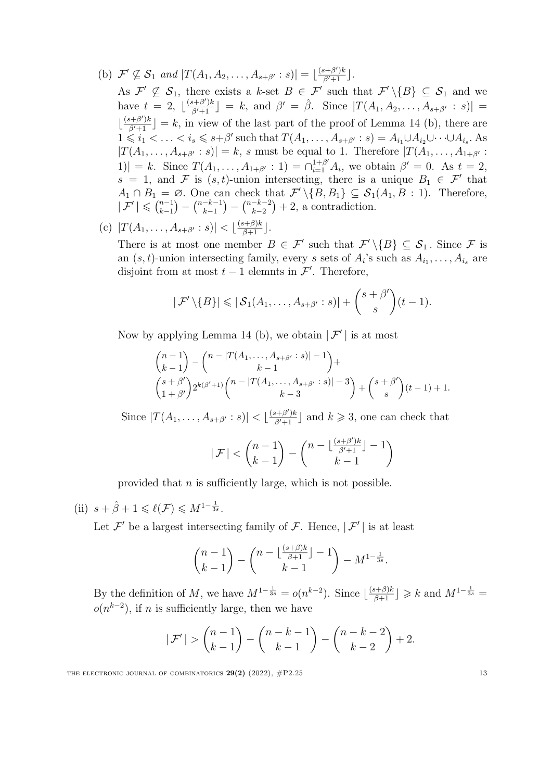- (b)  $\mathcal{F}' \not\subseteq \mathcal{S}_1$  *and*  $|T(A_1, A_2, \ldots, A_{s+\beta'} : s)| = \lfloor \frac{(s+\beta')k}{\beta'+1} \rfloor$ .
	- As  $\mathcal{F}' \nsubseteq \mathcal{S}_1$ , there exists a *k*-set  $B \in \mathcal{F}'$  such that  $\mathcal{F}' \setminus \{B\} \subseteq \mathcal{S}_1$  and we  $\left| \begin{array}{l} \text{have } t = 2, \ \frac{(s+\beta')k}{\beta'+1} \end{array} \right| = k, \text{ and } \beta' = \hat{\beta}. \text{ Since } |T(A_1, A_2, \ldots, A_{s+\beta'} : s)| = 1$  $\lfloor \frac{(s+\beta')k}{\beta'+1} \rfloor = k$ , in view of the last part of the proof of Lemma [14](#page-8-1) (b), there are  $1 \leq i_1 < \ldots < i_s \leq s+\beta'$  such that  $T(A_1,\ldots,A_{s+\beta'}:s) = A_{i_1} \cup A_{i_2} \cup \cdots \cup A_{i_s}$ . As  $|T(A_1,\ldots,A_{s+\beta'}:s)|=k$ , s must be equal to 1. Therefore  $|T(A_1,\ldots,A_{1+\beta'}:$  $|1\rangle$  = *k*. Since  $T(A_1, \ldots, A_{1+\beta'} : 1) = \bigcap_{i=1}^{1+\beta'} A_i$ , we obtain  $\beta' = 0$ . As  $t = 2$ ,  $s = 1$ , and *F* is  $(s, t)$ -union intersecting, there is a unique  $B_1 \in \mathcal{F}'$  that  $A_1 \cap B_1 = \emptyset$ . One can check that  $\mathcal{F}' \setminus \{B, B_1\} \subseteq \mathcal{S}_1(A_1, B : 1)$ . Therefore,  $|\mathcal{F}'| \leqslant \binom{n-1}{k-1}$  $) - {n-k-1 \choose k-1}$  $(-\binom{n-k-2}{k-2}$  $+2$ , a contradiction.

(c) 
$$
|T(A_1, ..., A_{s+\beta'}:s)| < \lfloor \frac{(s+\beta)k}{\beta+1} \rfloor
$$
.

There is at most one member  $B \in \mathcal{F}'$  such that  $\mathcal{F}'\setminus\{B\} \subseteq \mathcal{S}_1$ . Since  $\mathcal{F}$  is an  $(s, t)$ -union intersecting family, every *s* sets of  $A_i$ 's such as  $A_{i_1}, \ldots, A_{i_s}$  are disjoint from at most  $t-1$  elemnts in  $\mathcal{F}'$ . Therefore,

$$
|\mathcal{F}'\setminus\{B\}| \leq |\mathcal{S}_1(A_1,\ldots,A_{s+\beta'}:s)| + {s+\beta' \choose s}(t-1).
$$

Now by applying Lemma [14](#page-8-1) (b), we obtain  $|\mathcal{F}'|$  is at most

$$
{n-1 \choose k-1} - {n-|T(A_1, ..., A_{s+\beta'} : s)| - 1 \choose k-1} +
$$
  

$$
{s+\beta' \choose 1+\beta'} 2^{k(\beta'+1)} {n-|T(A_1, ..., A_{s+\beta'} : s)| - 3 \choose k-3} + {s+\beta' \choose s} (t-1) + 1.
$$

Since  $|T(A_1, \ldots, A_{s+\beta'}: s)| < \lfloor \frac{(s+\beta')k}{\beta'+1} \rfloor$  and  $k \geq 3$ , one can check that

$$
|\mathcal{F}| < \binom{n-1}{k-1} - \binom{n - \lfloor \frac{(s+\beta')k}{\beta'+1} \rfloor - 1}{k-1}
$$

provided that *n* is sufficiently large, which is not possible.

(ii)  $s + \hat{\beta} + 1 \leq \ell(\mathcal{F}) \leq M^{1-\frac{1}{3s}}$ .

Let  $\mathcal{F}'$  be a largest intersecting family of  $\mathcal{F}$ . Hence,  $|\mathcal{F}'|$  is at least

$$
\binom{n-1}{k-1} - \binom{n - \lfloor \frac{(s+\beta)k}{\beta+1} \rfloor - 1}{k-1} - M^{1-\frac{1}{3s}}.
$$

By the definition of *M*, we have  $M^{1-\frac{1}{3s}} = o(n^{k-2})$ . Since  $\lfloor \frac{(s+\beta)k}{\beta+1} \rfloor \geq k$  and  $M^{1-\frac{1}{3s}} = o(n^{k-2})$ .  $o(n^{k-2})$ , if *n* is sufficiently large, then we have

$$
|\mathcal{F}'| > {n-1 \choose k-1} - {n-k-1 \choose k-1} - {n-k-2 \choose k-2} + 2.
$$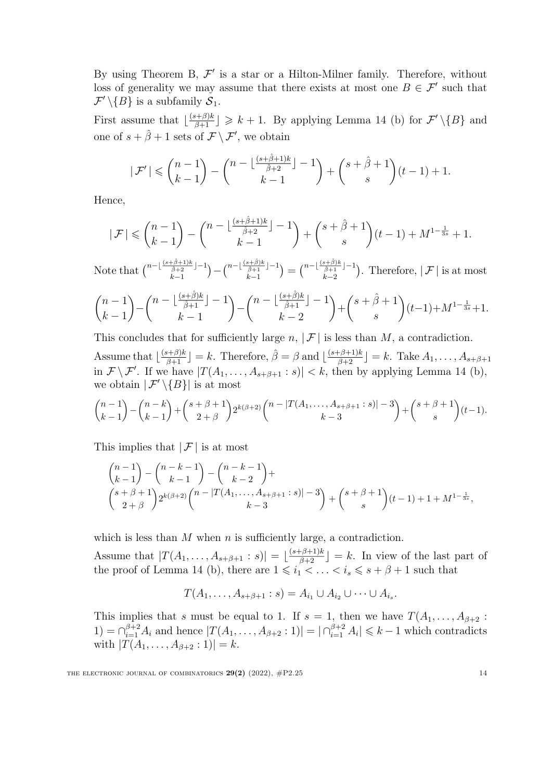[B](#page-2-0)y using Theorem B,  $\mathcal{F}'$  is a star or a Hilton-Milner family. Therefore, without loss of generality we may assume that there exists at most one  $B \in \mathcal{F}'$  such that  $\mathcal{F}' \setminus \{B\}$  is a subfamily  $\mathcal{S}_1$ .

First assume that  $\lfloor \frac{(s+\beta)k}{\beta+1} \rfloor \geq k+1$ . By applying Lemma [14](#page-8-1) (b) for  $\mathcal{F}'\setminus\{B\}$  and one of  $s + \hat{\beta} + 1$  sets of  $\mathcal{F} \setminus \mathcal{F}'$ , we obtain

$$
|\mathcal{F}'|\leqslant \binom{n-1}{k-1}-\binom{n-\lfloor\frac{(s+\hat{\beta}+1)k}{\hat{\beta}+2}\rfloor-1}{k-1}+\binom{s+\hat{\beta}+1}{s}(t-1)+1.
$$

Hence,

$$
|\mathcal{F}| \leqslant {n-1 \choose k-1}-{n-\lfloor\frac{(s+\hat{\beta}+1)k}{\hat{\beta}+2}\rfloor-1 \choose k-1}+{s+\hat{\beta}+1 \choose s}(t-1)+M^{1-\frac{1}{3s}}+1.
$$

Note that  $\binom{n-\lfloor \frac{(s+\hat{\beta}+1)k}{\hat{\beta}+2} \rfloor - 1}{k-1}$ *k*−1  $)-\textstyle\binom{n-\lfloor\frac{(s+\hat\beta)k}{\hat\beta+1}\rfloor-1}{k-1}$ *k*−1  $=\binom{n-\lfloor \frac{(s+\hat{\beta})k}{\hat{\beta}+1} \rfloor - 1}{\frac{k}{n-2}}$ *k*−2 ). Therefore,  $|F|$  is at most

$$
\binom{n-1}{k-1} - \binom{n - \lfloor \frac{(s+\hat{\beta})k}{\hat{\beta}+1} \rfloor - 1}{k-1} - \binom{n - \lfloor \frac{(s+\hat{\beta})k}{\hat{\beta}+1} \rfloor - 1}{k-2} + \binom{s+\hat{\beta}+1}{s} (t-1) + M^{1-\frac{1}{3s}} + 1.
$$

This concludes that for sufficiently large  $n, |\mathcal{F}|$  is less than  $M$ , a contradiction.

Assume that  $\left\lfloor \frac{(s+\beta)k}{\beta+1} \right\rfloor = k$ . Therefore,  $\hat{\beta} = \beta$  and  $\left\lfloor \frac{(s+\beta+1)k}{\beta+2} \right\rfloor = k$ . Take  $A_1, \ldots, A_{s+\beta+1}$ in  $\mathcal{F} \setminus \mathcal{F}'$ . If we have  $|T(A_1, \ldots, A_{s+\beta+1} : s)| < k$ , then by applying Lemma [14](#page-8-1) (b), we obtain  $|\mathcal{F}' \setminus \{B\}|$  is at most

$$
\binom{n-1}{k-1}-\binom{n-k}{k-1}+\binom{s+\beta+1}{2+\beta}2^{k(\beta+2)}\binom{n-|T(A_1,\ldots,A_{s+\beta+1}:s)|-3}{k-3}+\binom{s+\beta+1}{s}(t-1).
$$

This implies that  $|\mathcal{F}|$  is at most

$$
{n-1 \choose k-1} - {n-k-1 \choose k-1} - {n-k-1 \choose k-2} +
$$
  

$$
{s+\beta+1 \choose 2+\beta} 2^{k(\beta+2)} {n-|T(A_1,\ldots,A_{s+\beta+1}:s)|-3 \choose k-3} + {s+\beta+1 \choose s} (t-1) + 1 + M^{1-\frac{1}{3s}},
$$

which is less than *M* when *n* is sufficiently large, a contradiction.

Assume that  $|T(A_1, \ldots, A_{s+\beta+1} : s)| = \lfloor \frac{(s+\beta+1)k}{\beta+2} \rfloor = k$ . In view of the last part of the proof of Lemma [14](#page-8-1) (b), there are  $1 \leq i_1 < \ldots < i_s \leq s + \beta + 1$  such that

$$
T(A_1,\ldots,A_{s+\beta+1}:s)=A_{i_1}\cup A_{i_2}\cup\cdots\cup A_{i_s}.
$$

This implies that *s* must be equal to 1. If  $s = 1$ , then we have  $T(A_1, \ldots, A_{\beta+2}$ : 1) =  $\bigcap_{i=1}^{\beta+2} A_i$  and hence  $|T(A_1,\ldots,A_{\beta+2}:1)| = |\bigcap_{i=1}^{\beta+2} A_i| \leq k-1$  which contradicts with  $|T(A_1, \ldots, A_{\beta+2} : 1)| = k$ .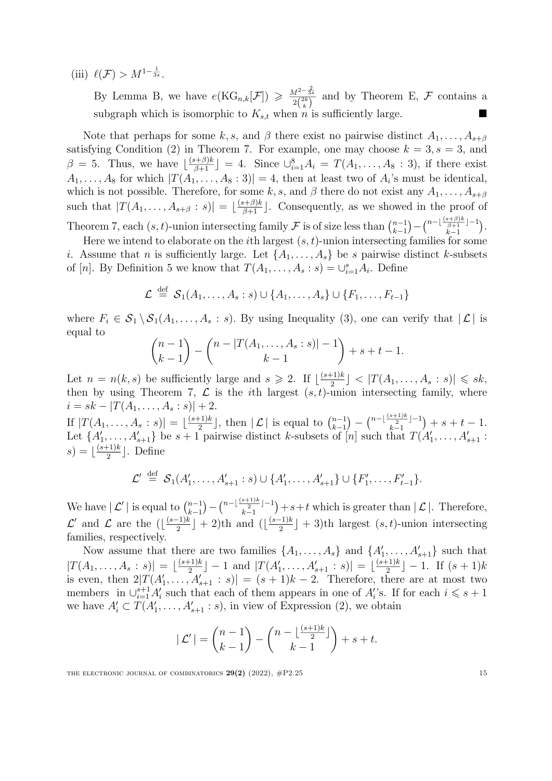(iii)  $\ell(\mathcal{F}) > M^{1-\frac{1}{3s}}$ .

By Lemma [B,](#page-10-0) we have  $e(KG_{n,k}[\mathcal{F}]) \geq \frac{M^{2-\frac{2}{3s}}}{2\binom{2k}{k}}$  and by Theorem [E](#page-10-1), *F* contains a subgraph which is isomorphic to  $K_{s,t}$  when *n* is sufficiently large.

Note that perhaps for some *k, s,* and  $\beta$  there exist no pairwise distinct  $A_1, \ldots, A_{s+\beta}$ satisfying Condition [\(2](#page-5-1)) in Theorem [7.](#page-5-0) For example, one may choose  $k = 3, s = 3$ , and  $\beta = 5$ . Thus, we have  $\lfloor \frac{(s+\beta)k}{\beta+1} \rfloor = 4$ . Since  $\bigcup_{i=1}^{8} A_i = T(A_1, \ldots, A_8 : 3)$ , if there exist  $A_1, \ldots, A_8$  for which  $|T(A_1, \ldots, A_8:3)| = 4$ , then at least two of  $A_i$ 's must be identical, which is not possible. Therefore, for some  $k$ ,  $s$ , and  $\beta$  there do not exist any  $A_1, \ldots, A_{s+\beta}$ such that  $|T(A_1,\ldots,A_{s+\beta}:s)| = \lfloor \frac{(s+\beta)k}{\beta+1} \rfloor$ . Consequently, as we showed in the proof of Theorem [7](#page-5-0), each  $(s, t)$ -union intersecting family  $\mathcal F$  is of size less than  $\binom{n-1}{k-1}$  $) - {n - \lfloor {\frac{(s+\beta)k}{\beta+1}} \rfloor - 1 \over k-1}$  $\big).$ 

*k*−1 *k*−1 Here we intend to elaborate on the *i*th largest (*s,t*)-union intersecting families for some *i*. Assume that *n* is sufficiently large. Let  $\{A_1, \ldots, A_s\}$  be *s* pairwise distinct *k*-subsets of [*n*]. By Definition [5](#page-4-1) we know that  $T(A_1, \ldots, A_s : s) = \bigcup_{i=1}^s A_i$ . Define

$$
\mathcal{L} \stackrel{\text{def}}{=} \mathcal{S}_1(A_1, \ldots, A_s : s) \cup \{A_1, \ldots, A_s\} \cup \{F_1, \ldots, F_{t-1}\}\
$$

where  $F_i \in S_1 \setminus S_1(A_1, \ldots, A_s : s)$ . By using Inequality [\(3\)](#page-9-0), one can verify that  $|L|$  is equal to

$$
\binom{n-1}{k-1} - \binom{n-|T(A_1,\ldots,A_s:s)|-1}{k-1} + s + t - 1.
$$

Let  $n = n(k, s)$  be sufficiently large and  $s \ge 2$ . If  $\lfloor \frac{(s+1)k}{2} \rfloor < |T(A_1, \ldots, A_s : s)| \le sk$ , then by using Theorem [7](#page-5-0),  $\mathcal{L}$  is the *i*th largest  $(s,t)$ -union intersecting family, where  $i = sk - |T(A_1, \ldots, A_s : s)| + 2.$ 

If  $|T(A_1, \ldots, A_s : s)| = \lfloor \frac{(s+1)k}{2} \rfloor$ , then  $|L|$  is equal to  $\binom{n-1}{k-1}$  $\bigg) - {n - \lfloor \frac{(s+1)k}{2} \rfloor - 1 \over k - 1}$ *k*−1  $)+ s + t - 1.$ Let  $\{A'_1, \ldots, A'_{s+1}\}$  be  $s+1$  pairwise distinct k-subsets of [n] such that  $T(A'_1, \ldots, A'_{s+1})$ :  $s) = \lfloor \frac{(s+1)k}{2} \rfloor$ . Define

$$
\mathcal{L}' \stackrel{\text{def}}{=} \mathcal{S}_1(A'_1, \ldots, A'_{s+1} : s) \cup \{A'_1, \ldots, A'_{s+1}\} \cup \{F'_1, \ldots, F'_{t-1}\}.
$$

We have  $|\mathcal{L}'|$  is equal to  $\binom{n-1}{k-1}$ *k*−1  $-\binom{n-\lfloor\frac{(s+1)k}{2}\rfloor-1}{k-1}$ *k*−1  $+ s + t$  which is greater than  $| \mathcal{L} |$ . Therefore, *L*<sup>′</sup> and *L* are the  $(\lfloor \frac{(s-1)k}{2} \rfloor + 2)$ th and  $(\lfloor \frac{(s-1)k}{2} \rfloor + 3)$ th largest  $(s, t)$ -union intersecting families, respectively.

Now assume that there are two families  $\{A_1, \ldots, A_s\}$  and  $\{A'_1, \ldots, A'_{s+1}\}$  such that  $|T(A_1,\ldots,A_s:s)| = \lfloor \frac{(s+1)k}{2} \rfloor - 1$  and  $|T(A'_1,\ldots,A'_{s+1}:s)| = \lfloor \frac{(s+1)k}{2} \rfloor - 1$ . If  $(s+1)k$ is even, then  $2|T(A'_1,\ldots,A'_{s+1}:s)| = (s+1)k-2$ . Therefore, there are at most two members in  $\bigcup_{i=1}^{s+1} A'_i$  such that each of them appears in one of  $A'_i$ 's. If for each  $i \leq s+1$ we have  $A'_i \subset T(A'_1, \ldots, A'_{s+1} : s)$ , in view of Expression ([2\)](#page-9-1), we obtain

$$
|\mathcal{L}'| = \binom{n-1}{k-1} - \binom{n - \lfloor \frac{(s+1)k}{2} \rfloor}{k-1} + s + t.
$$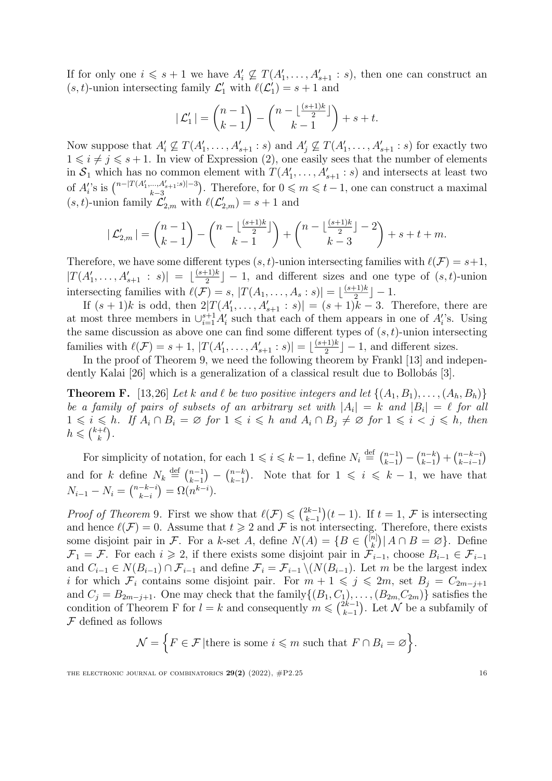If for only one  $i \leq s + 1$  we have  $A'_i \nsubseteq T(A'_1, \ldots, A'_{s+1} : s)$ , then one can construct an  $(s, t)$ -union intersecting family  $\mathcal{L}'_1$  with  $\ell(\mathcal{L}'_1) = s + 1$  and

$$
|\mathcal{L}'_1| = \binom{n-1}{k-1} - \binom{n - \lfloor \frac{(s+1)k}{2} \rfloor}{k-1} + s + t.
$$

Now suppose that  $A'_i \nsubseteq T(A'_1, \ldots, A'_{s+1}: s)$  and  $A'_j \nsubseteq T(A'_1, \ldots, A'_{s+1}: s)$  for exactly two  $1 \leq i \neq j \leq s+1$ . In view of Expression ([2](#page-9-1)), one easily sees that the number of elements in  $S_1$  which has no common element with  $T(A'_1, \ldots, A'_{s+1} : s)$  and intersects at least two of  $A_i$ 's is  $\binom{n-|T(A'_1,...,A'_{s+1}:s)|-3}{k-3}$ *k*−3 ). Therefore, for  $0 \leq m \leq t-1$ , one can construct a maximal  $(s, t)$ -union family  $\mathcal{L}'_{2,m}$  with  $\ell(\mathcal{L}'_{2,m}) = s + 1$  and

$$
|\mathcal{L}_{2,m}'| = \binom{n-1}{k-1} - \binom{n - \lfloor \frac{(s+1)k}{2} \rfloor}{k-1} + \binom{n - \lfloor \frac{(s+1)k}{2} \rfloor - 2}{k-3} + s + t + m.
$$

Therefore, we have some different types  $(s, t)$ -union intersecting families with  $\ell(\mathcal{F}) = s+1$ ,  $|T(A'_1,\ldots,A'_{s+1}:s)| = \lfloor\frac{(s+1)k}{2}\rfloor - 1$ , and different sizes and one type of  $(s,t)$ -union intersecting families with  $\ell(\mathcal{F}) = s$ ,  $|T(A_1, \ldots, A_s : s)| = \lfloor \frac{(s+1)k}{2} \rfloor - 1$ .

If  $(s + 1)k$  is odd, then  $2|T(A'_1, \ldots, A'_{s+1} : s)| = (s + 1)k - 3$ . Therefore, there are at most three members in  $\bigcup_{i=1}^{s+1} A'_i$  such that each of them appears in one of  $A'_i$ 's. Using the same discussion as above one can find some different types of (*s,t*)-union intersecting families with  $\ell(\mathcal{F}) = s + 1$ ,  $|T(A'_1, \ldots, A'_{s+1} : s)| = \lfloor \frac{(s+1)k}{2} \rfloor - 1$ , and different sizes.

In the proof of Theorem [9](#page-6-1), we need the following theorem by Frankl [[13\]](#page-20-15) and indepen-dently Kalai [\[26\]](#page-20-16) which is a generalization of a classical result due to Bollobás [[3](#page-19-8)].

<span id="page-15-0"></span>**Theorem F.** [\[13](#page-20-15),[26\]](#page-20-16) Let k and l be two positive integers and let  $\{(A_1, B_1), \ldots, (A_h, B_h)\}\$ be a family of pairs of subsets of an arbitrary set with  $|A_i| = k$  and  $|B_i| = \ell$  for all  $1 \leq i \leq h$ . If  $A_i \cap B_i = \emptyset$  for  $1 \leq i \leq h$  and  $A_i \cap B_j \neq \emptyset$  for  $1 \leq i \leq j \leq h$ , then  $h \leqslant \binom{k+\ell}{k}.$ 

For simplicity of notation, for each  $1 \leq i \leq k-1$ , define  $N_i \stackrel{\text{def}}{=} {\binom{n-1}{k-1}} - {\binom{n-k}{k-1}} + {\binom{n-k-i}{k-i-1}}$ *k*−1 *k*−1 *k*−*i*−1 and for *k* define  $N_k \stackrel{\text{def}}{=} {\binom{n-1}{k-1}}$  $\binom{n-k}{k-1}$ ). Note that for  $1 \leq i \leq k-1$ , we have that  $N_{i-1} - N_i = \binom{n-k-i}{k-i}$  $) = \Omega(n^{k-i}).$ 

*Proof of Theorem* [9](#page-6-1). First we show that  $\ell(\mathcal{F}) \leq \binom{2k-1}{k-1}$  $(t-1)$ . If  $t = 1$ ,  $\mathcal{F}$  is intersecting and hence  $\ell(\mathcal{F}) = 0$ . Assume that  $t \geq 2$  and  $\mathcal{F}$  is not intersecting. Therefore, there exists some disjoint pair in *F*. For a *k*-set *A*, define  $N(A) = \{B \in \binom{[n]}{k} | A \cap B = \emptyset\}$ . Define  $\mathcal{F}_1 = \mathcal{F}$ . For each  $i \geq 2$ , if there exists some disjoint pair in  $\mathcal{F}_{i-1}$ , choose  $B_{i-1} \in \mathcal{F}_{i-1}$ and  $C_{i-1} \in N(B_{i-1}) \cap \mathcal{F}_{i-1}$  and define  $\mathcal{F}_i = \mathcal{F}_{i-1} \setminus (N(B_{i-1})$ . Let *m* be the largest index *i* for which  $\mathcal{F}_i$  contains some disjoint pair. For  $m + 1 \leqslant j \leqslant 2m$ , set  $B_j = C_{2m-j+1}$ and  $C_j = B_{2m-j+1}$ . One may check that the family $\{(B_1, C_1), \ldots, (B_{2m}, C_{2m})\}$  satisfies the condition of Theorem [F](#page-15-0) for  $l = k$  and consequently  $m \leqslant \binom{2k-1}{k-1}$ ). Let  $\cal N$  be a subfamily of *F* defined as follows

$$
\mathcal{N} = \Big\{ F \in \mathcal{F} \vert \text{there is some } i \leq m \text{ such that } F \cap B_i = \varnothing \Big\}.
$$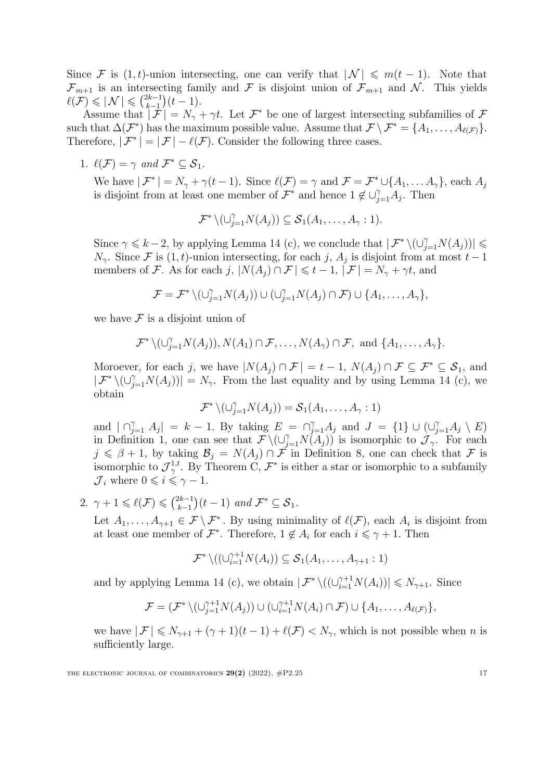Since *F* is  $(1, t)$ -union intersecting, one can verify that  $|\mathcal{N}| \leq m(t-1)$ . Note that  $\mathcal{F}_{m+1}$  is an intersecting family and  $\mathcal F$  is disjoint union of  $\mathcal{F}_{m+1}$  and  $\mathcal N$ . This yields  $\ell(\mathcal{F}) \leqslant |\mathcal{N}| \leqslant \binom{2k-1}{k-1}$  $(t-1)$ .

Assume that  $|\mathcal{F}| = N_{\gamma} + \gamma t$ . Let  $\mathcal{F}^*$  be one of largest intersecting subfamilies of  $\mathcal{F}$ such that  $\Delta(\mathcal{F}^*)$  has the maximum possible value. Assume that  $\mathcal{F} \setminus \mathcal{F}^* = \{A_1, \ldots, A_{\ell(\mathcal{F})}\}.$ Therefore,  $|\mathcal{F}^*| = |\mathcal{F}| - \ell(\mathcal{F})$ . Consider the following three cases.

1.  $\ell(\mathcal{F}) = \gamma$  and  $\mathcal{F}^* \subset \mathcal{S}_1$ .

We have  $|\mathcal{F}^*| = N_\gamma + \gamma(t-1)$ . Since  $\ell(\mathcal{F}) = \gamma$  and  $\mathcal{F} = \mathcal{F}^* \cup \{A_1, \ldots A_\gamma\}$ , each  $A_j$ is disjoint from at least one member of  $\mathcal{F}^*$  and hence  $1 \notin \bigcup_{j=1}^{\gamma} A_j$ . Then

$$
\mathcal{F}^* \setminus (\cup_{j=1}^{\gamma} N(A_j)) \subseteq \mathcal{S}_1(A_1, \ldots, A_{\gamma}: 1).
$$

Since  $\gamma \le k - 2$ , by applying Lemma [14](#page-8-1) (c), we conclude that  $| \mathcal{F}^* \setminus (\cup_{j=1}^{\gamma} N(A_j)) | \le$  $N_{\gamma}$ . Since *F* is (1*,t*)-union intersecting, for each *j*,  $A_j$  is disjoint from at most  $t-1$ members of *F*. As for each *j*,  $|N(A_i) \cap F| \leq t - 1$ ,  $|F| = N_{\gamma} + \gamma t$ , and

$$
\mathcal{F} = \mathcal{F}^* \setminus (\cup_{j=1}^{\gamma} N(A_j)) \cup (\cup_{j=1}^{\gamma} N(A_j) \cap \mathcal{F}) \cup \{A_1, \ldots, A_{\gamma}\},
$$

we have  $\mathcal F$  is a disjoint union of

$$
\mathcal{F}^* \setminus (\cup_{j=1}^{\gamma} N(A_j)), N(A_1) \cap \mathcal{F}, \ldots, N(A_{\gamma}) \cap \mathcal{F}, \text{ and } \{A_1, \ldots, A_{\gamma}\}.
$$

Moroever, for each *j*, we have  $|N(A_i) \cap \mathcal{F}| = t - 1$ ,  $N(A_i) \cap \mathcal{F} \subseteq \mathcal{F}^* \subseteq \mathcal{S}_1$ , and  $| \mathcal{F}^* \setminus (\cup_{j=1}^{\gamma} N(A_j)) | = N_{\gamma}$ . From the last equality and by using Lemma [14](#page-8-1) (c), we obtain

$$
\mathcal{F}^* \setminus (\cup_{j=1}^{\gamma} N(A_j)) = \mathcal{S}_1(A_1, \ldots, A_{\gamma}: 1)
$$

and  $| \bigcap_{j=1}^{\gamma} A_j | = k - 1$ . By taking  $E = \bigcap_{j=1}^{\gamma} A_j$  and  $J = \{1\} \cup (\bigcup_{j=1}^{\gamma} A_j \setminus E)$ in Definition [1](#page-2-2), one can see that  $\mathcal{F} \setminus (\cup_{j=1}^{\gamma} N(A_j))$  is isomorphic to  $\mathcal{J}_{\gamma}$ . For each  $j \le \beta + 1$ , by taking  $\mathcal{B}_j = N(A_j) \cap \mathcal{F}$  in Definition [8,](#page-5-2) one can check that  $\mathcal{F}$  is isomorphic to  $\mathcal{J}_{\gamma}^{1,t}$ . By Theorem [C](#page-2-1),  $\mathcal{F}^*$  is either a star or isomorphic to a subfamily  $\mathcal{J}_i$  where  $0 \leqslant i \leqslant \gamma - 1$ .

2.  $\gamma + 1 \leq \ell(\mathcal{F}) \leq \binom{2k-1}{k-1}$  $(t-1)$  *and*  $\mathcal{F}^* \subseteq \mathcal{S}_1$ *.* 

Let  $A_1, \ldots, A_{\gamma+1} \in \mathcal{F} \setminus \mathcal{F}^*$ . By using minimality of  $\ell(\mathcal{F})$ , each  $A_i$  is disjoint from at least one member of  $\mathcal{F}^*$ . Therefore,  $1 \notin A_i$  for each  $i \leq \gamma + 1$ . Then

$$
\mathcal{F}^* \setminus ((\cup_{i=1}^{\gamma+1} N(A_i)) \subseteq \mathcal{S}_1(A_1, \ldots, A_{\gamma+1}: 1)
$$

and by applying Lemma [14](#page-8-1) (c), we obtain  $| \mathcal{F}^* \setminus ((\bigcup_{i=1}^{\gamma+1} N(A_i)) | \leq N_{\gamma+1}$ . Since

$$
\mathcal{F} = (\mathcal{F}^* \setminus (\cup_{j=1}^{\gamma+1} N(A_j)) \cup (\cup_{i=1}^{\gamma+1} N(A_i) \cap \mathcal{F}) \cup \{A_1, \ldots, A_{\ell(\mathcal{F})}\},
$$

we have  $|F| \le N_{\gamma+1} + (\gamma+1)(t-1) + \ell(F) < N_{\gamma}$ , which is not possible when *n* is sufficiently large.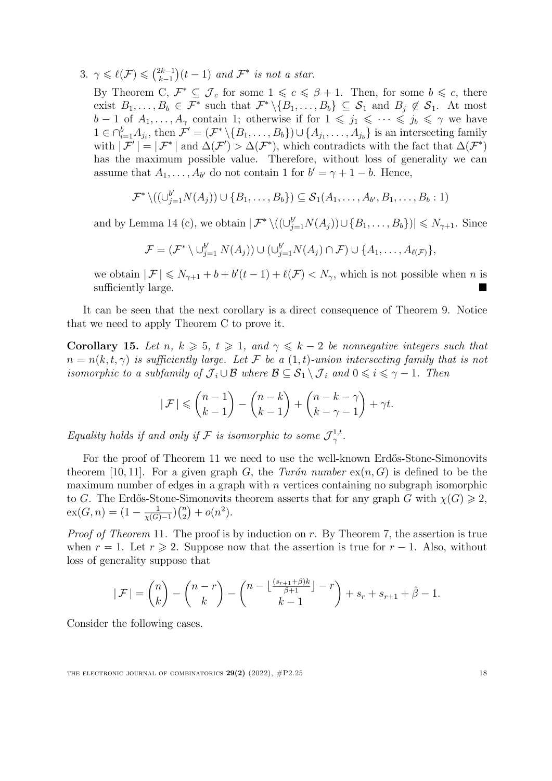3.  $\gamma \leqslant \ell(\mathcal{F}) \leqslant {2k-1 \choose k-1}$  $(t-1)$  *and*  $\mathcal{F}^*$  *is not a star.* 

By Theorem [C](#page-2-1),  $\mathcal{F}^* \subseteq \mathcal{J}_c$  for some  $1 \leqslant c \leqslant \beta + 1$ . Then, for some  $b \leqslant c$ , there exist  $B_1,\ldots,B_b \in \mathcal{F}^*$  such that  $\mathcal{F}^* \setminus \{B_1,\ldots,B_b\} \subseteq \mathcal{S}_1$  and  $B_j \notin \mathcal{S}_1$ . At most *b* − 1 of  $A_1, \ldots, A_\gamma$  contain 1; otherwise if for  $1 \leq j_1 \leq \cdots \leq j_b \leq \gamma$  we have  $1 \in \bigcap_{i=1}^b A_{j_i}$ , then  $\mathcal{F}' = (\mathcal{F}^* \setminus \{B_1, \ldots, B_b\}) \cup \{A_{j_1}, \ldots, A_{j_b}\}$  is an intersecting family with  $|{\mathcal{F}}'| = |{\mathcal{F}}^*|$  and  $\Delta({\mathcal{F}}') > \Delta({\mathcal{F}}^*)$ , which contradicts with the fact that  $\Delta({\mathcal{F}}^*)$ has the maximum possible value. Therefore, without loss of generality we can assume that  $A_1, \ldots, A_{b'}$  do not contain 1 for  $b' = \gamma + 1 - b$ . Hence,

$$
\mathcal{F}^* \setminus ((\cup_{j=1}^{b'} N(A_j)) \cup \{B_1, \ldots, B_b\}) \subseteq \mathcal{S}_1(A_1, \ldots, A_{b'}, B_1, \ldots, B_b : 1)
$$

and by Lemma [14](#page-8-1) (c), we obtain  $|\mathcal{F}^*\setminus ((\cup_{j=1}^{b'} N(A_j)) \cup \{B_1,\ldots,B_b\})| \le N_{\gamma+1}$ . Since

$$
\mathcal{F} = (\mathcal{F}^* \setminus \bigcup_{j=1}^{b'} N(A_j)) \cup (\bigcup_{j=1}^{b'} N(A_j) \cap \mathcal{F}) \cup \{A_1, \ldots, A_{\ell(\mathcal{F})}\},
$$

we obtain  $|\mathcal{F}| \leq N_{\gamma+1} + b + b'(t-1) + \ell(\mathcal{F}) < N_{\gamma}$ , which is not possible when *n* is sufficiently large.

It can be seen that the next corollary is a direct consequence of Theorem [9.](#page-6-1) Notice that we need to apply Theorem [C](#page-2-1) to prove it.

Corollary 15. Let *n*,  $k \geq 5$ ,  $t \geq 1$ , and  $\gamma \leq k-2$  be nonnegative integers such that  $n = n(k, t, \gamma)$  *is sufficiently large.* Let F be a  $(1, t)$ *-union intersecting family that is not isomorphic to a subfamily of*  $\mathcal{J}_i \cup \mathcal{B}$  *where*  $\mathcal{B} \subseteq \mathcal{S}_1 \setminus \mathcal{J}_i$  *and*  $0 \leq i \leq \gamma - 1$ *. Then* 

$$
|\mathcal{F}| \leqslant {n-1 \choose k-1} - {n-k \choose k-1} + {n-k-\gamma \choose k-\gamma-1} + \gamma t.
$$

*Equality holds if and only if*  $\mathcal{F}$  *is isomorphic to some*  $\mathcal{J}^{1,t}_{\gamma}$ .

For the proof of Theorem [11](#page-7-0) we need to use the well-known Erdős-Stone-Simonovits theorem [\[10](#page-19-9), [11](#page-19-10)]. For a given graph *G*, the *Turán number*  $ex(n, G)$  is defined to be the maximum number of edges in a graph with *n* vertices containing no subgraph isomorphic to *G*. The Erdős-Stone-Simonovits theorem asserts that for any graph *G* with  $\chi(G) \geq 2$ ,  $ex(G, n) = (1 - \frac{1}{\chi(G)-1})(\binom{n}{2} + o(n^2)).$ 

*Proof of Theorem* [11](#page-7-0)*.* The proof is by induction on *r*. By Theorem [7,](#page-5-0) the assertion is true when  $r = 1$ . Let  $r \ge 2$ . Suppose now that the assertion is true for  $r - 1$ . Also, without loss of generality suppose that

$$
|\mathcal{F}| = \binom{n}{k} - \binom{n-r}{k} - \binom{n - \lfloor \frac{(s_{r+1} + \beta)k}{\beta + 1} \rfloor - r}{k - 1} + s_r + s_{r+1} + \hat{\beta} - 1.
$$

Consider the following cases.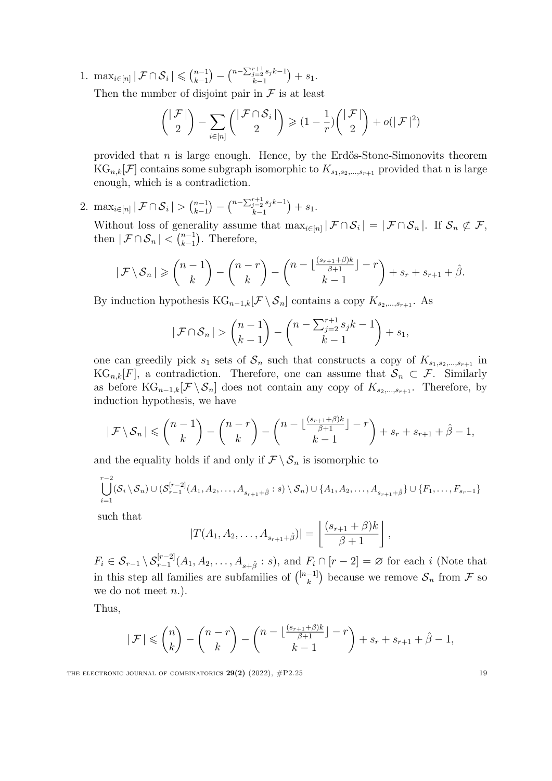1. max<sub>*i*∈[*n*]</sub>  $|\mathcal{F} \cap \mathcal{S}_i| \leq (n-1)$ <sub>*k*−1</sub>  $\left( \begin{matrix} n-\sum_{j=2}^{r+1} s_j k-1 \\ k-1 \end{matrix} \right)$ *k*−1  $+ s_1.$ 

Then the number of disjoint pair in  $\mathcal F$  is at least

$$
\binom{|\mathcal{F}|}{2} - \sum_{i \in [n]} \binom{|\mathcal{F} \cap \mathcal{S}_i|}{2} \ge (1 - \frac{1}{r}) \binom{|\mathcal{F}|}{2} + o(|\mathcal{F}|^2)
$$

provided that *n* is large enough. Hence, by the Erdős-Stone-Simonovits theorem  $KG_{n,k}[\mathcal{F}]$  contains some subgraph isomorphic to  $K_{s_1,s_2,...,s_{r+1}}$  provided that n is large enough, which is a contradiction.

2. max<sub>*i*∈[*n*]</sub>  $|\mathcal{F} \cap \mathcal{S}_i| > {n-1 \choose k-1}$  $) - {n - \sum_{j=2}^{r+1} s_j k - 1 \over k-1}$ *k*−1  $+ s_1.$ 

Without loss of generality assume that  $\max_{i \in [n]} |\mathcal{F} \cap \mathcal{S}_i| = |\mathcal{F} \cap \mathcal{S}_n|$ . If  $\mathcal{S}_n \not\subset \mathcal{F}$ , then  $|\mathcal{F} \cap \mathcal{S}_n| < \binom{n-1}{k-1}$ ). Therefore,

$$
|\mathcal{F} \setminus \mathcal{S}_n| \geqslant {n-1 \choose k} - {n-r \choose k} - {n-\lfloor \frac{(s_{r+1}+\beta)k}{\beta+1} \rfloor - r \choose k-1} + s_r + s_{r+1} + \hat{\beta}.
$$

By induction hypothesis  $KG_{n-1,k}[F \setminus S_n]$  contains a copy  $K_{s_2,\dots,s_{r+1}}$ . As

$$
|\mathcal{F} \cap \mathcal{S}_n| > {n-1 \choose k-1} - {n - \sum_{j=2}^{r+1} s_j k - 1 \choose k-1} + s_1,
$$

one can greedily pick  $s_1$  sets of  $S_n$  such that constructs a copy of  $K_{s_1, s_2, \dots, s_{r+1}}$  in  $KG_{n,k}[F]$ , a contradiction. Therefore, one can assume that  $S_n \subset \mathcal{F}$ . Similarly as before  $KG_{n-1,k}[\mathcal{F} \setminus \mathcal{S}_n]$  does not contain any copy of  $K_{s_2,\ldots,s_{r+1}}$ . Therefore, by induction hypothesis, we have

$$
|\mathcal{F} \setminus \mathcal{S}_n| \leqslant {n-1 \choose k} - {n-r \choose k} - {n-\lfloor \frac{(s_{r+1}+\beta)k}{\beta+1} \rfloor -r \choose k-1} + s_r + s_{r+1} + \hat{\beta} - 1,
$$

and the equality holds if and only if  $\mathcal{F} \setminus \mathcal{S}_n$  is isomorphic to

$$
\bigcup_{i=1}^{r-2} (\mathcal{S}_i \setminus \mathcal{S}_n) \cup (\mathcal{S}_{r-1}^{[r-2]}(A_1, A_2, \dots, A_{s_{r+1}+\hat{\beta}} : s) \setminus \mathcal{S}_n) \cup \{A_1, A_2, \dots, A_{s_{r+1}+\hat{\beta}}\} \cup \{F_1, \dots, F_{s_r-1}\}\
$$

such that

$$
|T(A_1, A_2, \dots, A_{s_{r+1}+\hat{\beta}})| = \left\lfloor \frac{(s_{r+1}+\beta)k}{\beta+1} \right\rfloor,
$$

 $F_i \in S_{r-1} \setminus S_{r-1}^{[r-2]}(A_1, A_2, \ldots, A_{s+\hat{\beta}} : s)$ , and  $F_i \cap [r-2] = \varnothing$  for each i (Note that in this step all families are subfamilies of  $\binom{[n-1]}{k}$  because we remove  $S_n$  from  $\mathcal F$  so we do not meet *n*.).

Thus,

$$
|\mathcal{F}| \leqslant {n \choose k} - {n-r \choose k} - {n - \lfloor \frac{(s_{r+1} + \beta)k}{\beta + 1} \rfloor - r \choose k - 1} + s_r + s_{r+1} + \hat{\beta} - 1,
$$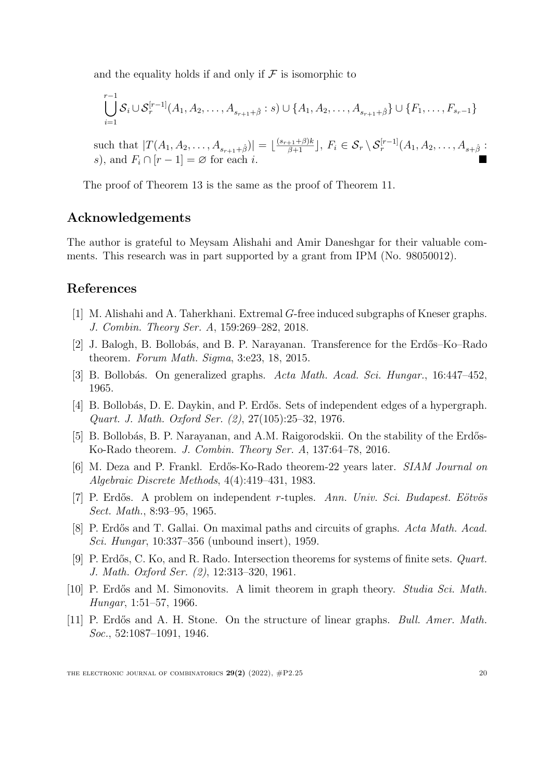and the equality holds if and only if  $\mathcal F$  is isomorphic to

$$
\bigcup_{i=1}^{r-1} S_i \cup S_r^{[r-1]}(A_1, A_2, \dots, A_{s_{r+1}+\hat{\beta}} : s) \cup \{A_1, A_2, \dots, A_{s_{r+1}+\hat{\beta}}\} \cup \{F_1, \dots, F_{s_r-1}\}\
$$

such that  $|T(A_1, A_2, \ldots, A_{s_{r+1}+\hat{\beta}})| = \lfloor \frac{(s_{r+1}+\beta)k}{\beta+1} \rfloor, F_i \in S_r \setminus S_r^{[r-1]}(A_1, A_2, \ldots, A_{s+\hat{\beta}})$ *s*), and  $F_i \cap [r-1] = \emptyset$  for each *i*.

The proof of Theorem [13](#page-7-1) is the same as the proof of Theorem [11](#page-7-0).

# Acknowledgements

The author is grateful to Meysam Alishahi and Amir Daneshgar for their valuable comments. This research was in part supported by a grant from IPM (No. 98050012).

## References

- <span id="page-19-1"></span>[1] M. Alishahi and A. Taherkhani. Extremal *G*-free induced subgraphs of Kneser graphs. *J. Combin. Theory Ser. A*, 159:269–282, 2018.
- <span id="page-19-2"></span>[2] J. Balogh, B. Bollobás, and B. P. Narayanan. Transference for the Erdős–Ko–Rado theorem. *Forum Math. Sigma*, 3:e23, 18, 2015.
- <span id="page-19-8"></span>[3] B. Bollob´as. On generalized graphs. *Acta Math. Acad. Sci. Hungar.*, 16:447–452, 1965.
- <span id="page-19-6"></span>[4] B. Bollobás, D. E. Daykin, and P. Erdős. Sets of independent edges of a hypergraph. *Quart. J. Math. Oxford Ser. (2)*, 27(105):25–32, 1976.
- <span id="page-19-3"></span>[5] B. Bollobás, B. P. Narayanan, and A.M. Raigorodskii. On the stability of the Erdős-Ko-Rado theorem. *J. Combin. Theory Ser. A*, 137:64–78, 2016.
- <span id="page-19-4"></span>[6] M. Deza and P. Frankl. Erd˝os-Ko-Rado theorem-22 years later. *SIAM Journal on Algebraic Discrete Methods*, 4(4):419–431, 1983.
- <span id="page-19-5"></span>[7] P. Erd˝os. A problem on independent *r*-tuples. *Ann. Univ. Sci. Budapest. E¨otv¨os Sect. Math.*, 8:93–95, 1965.
- <span id="page-19-7"></span>[8] P. Erd˝os and T. Gallai. On maximal paths and circuits of graphs. *Acta Math. Acad. Sci. Hungar*, 10:337–356 (unbound insert), 1959.
- <span id="page-19-0"></span>[9] P. Erdős, C. Ko, and R. Rado. Intersection theorems for systems of finite sets. *Quart. J. Math. Oxford Ser. (2)*, 12:313–320, 1961.
- <span id="page-19-9"></span>[10] P. Erd˝os and M. Simonovits. A limit theorem in graph theory. *Studia Sci. Math. Hungar*, 1:51–57, 1966.
- <span id="page-19-10"></span>[11] P. Erd˝os and A. H. Stone. On the structure of linear graphs. *Bull. Amer. Math. Soc.*, 52:1087–1091, 1946.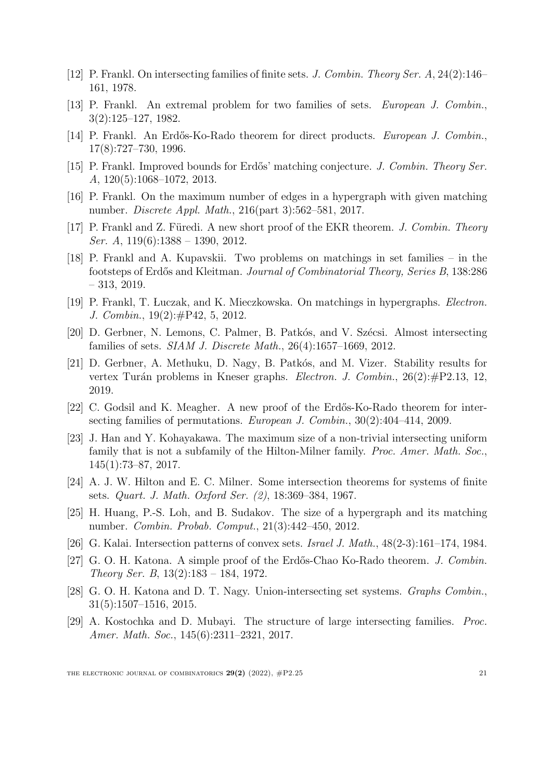- <span id="page-20-1"></span>[12] P. Frankl. On intersecting families of finite sets. *J. Combin. Theory Ser. A*, 24(2):146– 161, 1978.
- <span id="page-20-15"></span>[13] P. Frankl. An extremal problem for two families of sets. *European J. Combin.*, 3(2):125–127, 1982.
- <span id="page-20-2"></span>[14] P. Frankl. An Erd˝os-Ko-Rado theorem for direct products. *European J. Combin.*, 17(8):727–730, 1996.
- <span id="page-20-3"></span>[15] P. Frankl. Improved bounds for Erd˝os' matching conjecture. *J. Combin. Theory Ser. A*, 120(5):1068–1072, 2013.
- <span id="page-20-12"></span>[16] P. Frankl. On the maximum number of edges in a hypergraph with given matching number. *Discrete Appl. Math.*, 216(part 3):562–581, 2017.
- <span id="page-20-4"></span>[17] P. Frankl and Z. Füredi. A new short proof of the EKR theorem. *J. Combin. Theory Ser. A*, 119(6):1388 – 1390, 2012.
- <span id="page-20-14"></span>[18] P. Frankl and A. Kupavskii. Two problems on matchings in set families – in the footsteps of Erd˝os and Kleitman. *Journal of Combinatorial Theory, Series B*, 138:286 – 313, 2019.
- <span id="page-20-5"></span>[19] P. Frankl, T. L% uczak, and K. Mieczkowska. On matchings in hypergraphs. *Electron. J. Combin.*, 19(2):#P42, 5, 2012.
- <span id="page-20-9"></span>[20] D. Gerbner, N. Lemons, C. Palmer, B. Patkós, and V. Szécsi. Almost intersecting families of sets. *SIAM J. Discrete Math.*, 26(4):1657–1669, 2012.
- <span id="page-20-11"></span>[21] D. Gerbner, A. Methuku, D. Nagy, B. Patkós, and M. Vizer. Stability results for vertex Turán problems in Kneser graphs. *Electron. J. Combin.*, 26(2):#P2.13, 12, 2019.
- [22] C. Godsil and K. Meagher. A new proof of the Erdős-Ko-Rado theorem for intersecting families of permutations. *European J. Combin.*, 30(2):404–414, 2009.
- <span id="page-20-6"></span>[23] J. Han and Y. Kohayakawa. The maximum size of a non-trivial intersecting uniform family that is not a subfamily of the Hilton-Milner family. *Proc. Amer. Math. Soc.*, 145(1):73–87, 2017.
- <span id="page-20-0"></span>[24] A. J. W. Hilton and E. C. Milner. Some intersection theorems for systems of finite sets. *Quart. J. Math. Oxford Ser. (2)*, 18:369–384, 1967.
- <span id="page-20-13"></span>[25] H. Huang, P.-S. Loh, and B. Sudakov. The size of a hypergraph and its matching number. *Combin. Probab. Comput.*, 21(3):442–450, 2012.
- <span id="page-20-16"></span>[26] G. Kalai. Intersection patterns of convex sets. *Israel J. Math.*, 48(2-3):161–174, 1984.
- <span id="page-20-7"></span>[27] G. O. H. Katona. A simple proof of the Erd˝os-Chao Ko-Rado theorem. *J. Combin. Theory Ser. B*, 13(2):183 – 184, 1972.
- <span id="page-20-10"></span>[28] G. O. H. Katona and D. T. Nagy. Union-intersecting set systems. *Graphs Combin.*, 31(5):1507–1516, 2015.
- <span id="page-20-8"></span>[29] A. Kostochka and D. Mubayi. The structure of large intersecting families. *Proc. Amer. Math. Soc.*, 145(6):2311–2321, 2017.